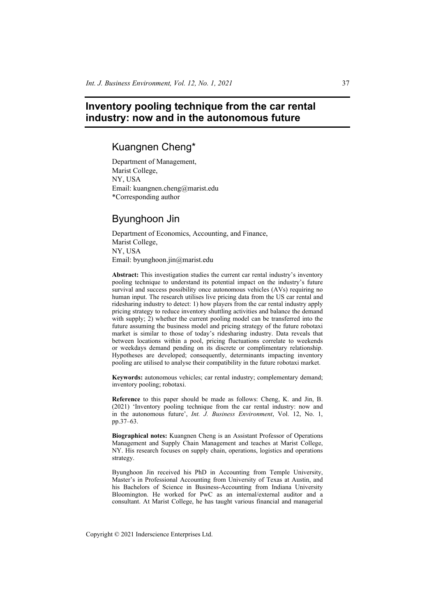# **Inventory pooling technique from the car rental industry: now and in the autonomous future**

# Kuangnen Cheng\*

Department of Management, Marist College, NY, USA Email: kuangnen.cheng@marist.edu \*Corresponding author

# Byunghoon Jin

Department of Economics, Accounting, and Finance, Marist College, NY, USA Email: byunghoon.jin@marist.edu

**Abstract:** This investigation studies the current car rental industry's inventory pooling technique to understand its potential impact on the industry's future survival and success possibility once autonomous vehicles (AVs) requiring no human input. The research utilises live pricing data from the US car rental and ridesharing industry to detect: 1) how players from the car rental industry apply pricing strategy to reduce inventory shuttling activities and balance the demand with supply; 2) whether the current pooling model can be transferred into the future assuming the business model and pricing strategy of the future robotaxi market is similar to those of today's ridesharing industry. Data reveals that between locations within a pool, pricing fluctuations correlate to weekends or weekdays demand pending on its discrete or complimentary relationship. Hypotheses are developed; consequently, determinants impacting inventory pooling are utilised to analyse their compatibility in the future robotaxi market.

**Keywords:** autonomous vehicles; car rental industry; complementary demand; inventory pooling; robotaxi.

**Reference** to this paper should be made as follows: Cheng, K. and Jin, B. (2021) 'Inventory pooling technique from the car rental industry: now and in the autonomous future', *Int. J. Business Environment*, Vol. 12, No. 1, pp.37–63.

**Biographical notes:** Kuangnen Cheng is an Assistant Professor of Operations Management and Supply Chain Management and teaches at Marist College, NY. His research focuses on supply chain, operations, logistics and operations strategy.

Byunghoon Jin received his PhD in Accounting from Temple University, Master's in Professional Accounting from University of Texas at Austin, and his Bachelors of Science in Business-Accounting from Indiana University Bloomington. He worked for PwC as an internal/external auditor and a consultant. At Marist College, he has taught various financial and managerial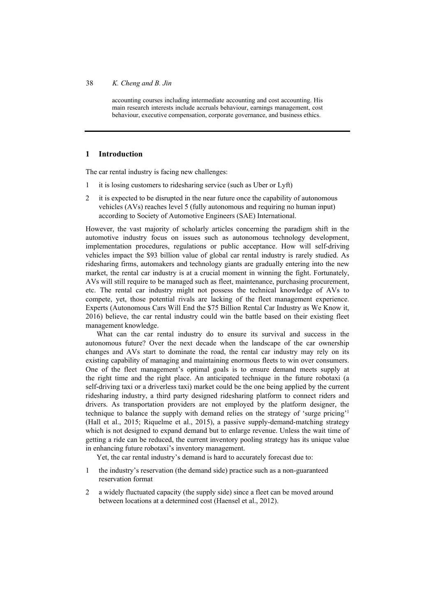accounting courses including intermediate accounting and cost accounting. His main research interests include accruals behaviour, earnings management, cost behaviour, executive compensation, corporate governance, and business ethics.

### **1 Introduction**

The car rental industry is facing new challenges:

- 1 it is losing customers to ridesharing service (such as Uber or Lyft)
- 2 it is expected to be disrupted in the near future once the capability of autonomous vehicles (AVs) reaches level 5 (fully autonomous and requiring no human input) according to Society of Automotive Engineers (SAE) International.

However, the vast majority of scholarly articles concerning the paradigm shift in the automotive industry focus on issues such as autonomous technology development, implementation procedures, regulations or public acceptance. How will self-driving vehicles impact the \$93 billion value of global car rental industry is rarely studied. As ridesharing firms, automakers and technology giants are gradually entering into the new market, the rental car industry is at a crucial moment in winning the fight. Fortunately, AVs will still require to be managed such as fleet, maintenance, purchasing procurement, etc. The rental car industry might not possess the technical knowledge of AVs to compete, yet, those potential rivals are lacking of the fleet management experience. Experts (Autonomous Cars Will End the \$75 Billion Rental Car Industry as We Know it, 2016) believe, the car rental industry could win the battle based on their existing fleet management knowledge.

What can the car rental industry do to ensure its survival and success in the autonomous future? Over the next decade when the landscape of the car ownership changes and AVs start to dominate the road, the rental car industry may rely on its existing capability of managing and maintaining enormous fleets to win over consumers. One of the fleet management's optimal goals is to ensure demand meets supply at the right time and the right place. An anticipated technique in the future robotaxi (a self-driving taxi or a driverless taxi) market could be the one being applied by the current ridesharing industry, a third party designed ridesharing platform to connect riders and drivers. As transportation providers are not employed by the platform designer, the technique to balance the supply with demand relies on the strategy of 'surge pricing'1 (Hall et al., 2015; Riquelme et al., 2015), a passive supply-demand-matching strategy which is not designed to expand demand but to enlarge revenue. Unless the wait time of getting a ride can be reduced, the current inventory pooling strategy has its unique value in enhancing future robotaxi's inventory management.

Yet, the car rental industry's demand is hard to accurately forecast due to:

- 1 the industry's reservation (the demand side) practice such as a non-guaranteed reservation format
- 2 a widely fluctuated capacity (the supply side) since a fleet can be moved around between locations at a determined cost (Haensel et al., 2012).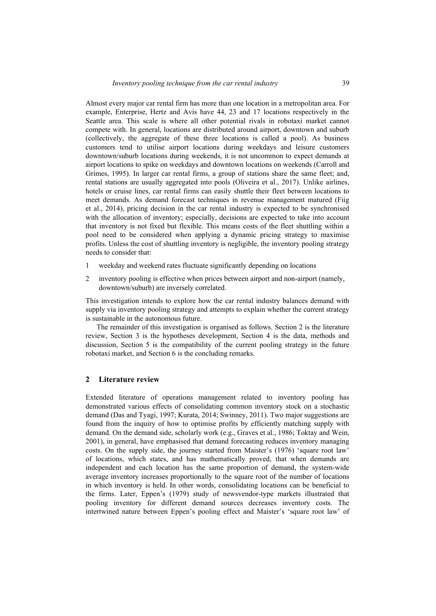Almost every major car rental firm has more than one location in a metropolitan area. For example, Enterprise, Hertz and Avis have 44, 23 and 17 locations respectively in the Seattle area. This scale is where all other potential rivals in robotaxi market cannot compete with. In general, locations are distributed around airport, downtown and suburb (collectively, the aggregate of these three locations is called a pool). As business customers tend to utilise airport locations during weekdays and leisure customers downtown/suburb locations during weekends, it is not uncommon to expect demands at airport locations to spike on weekdays and downtown locations on weekends (Carroll and Grimes, 1995). In larger car rental firms, a group of stations share the same fleet; and, rental stations are usually aggregated into pools (Oliveira et al., 2017). Unlike airlines, hotels or cruise lines, car rental firms can easily shuttle their fleet between locations to meet demands. As demand forecast techniques in revenue management matured (Fiig et al., 2014), pricing decision in the car rental industry is expected to be synchronised with the allocation of inventory; especially, decisions are expected to take into account that inventory is not fixed but flexible. This means costs of the fleet shuttling within a pool need to be considered when applying a dynamic pricing strategy to maximise profits. Unless the cost of shuttling inventory is negligible, the inventory pooling strategy needs to consider that:

- 1 weekday and weekend rates fluctuate significantly depending on locations
- 2 inventory pooling is effective when prices between airport and non-airport (namely, downtown/suburb) are inversely correlated.

This investigation intends to explore how the car rental industry balances demand with supply via inventory pooling strategy and attempts to explain whether the current strategy is sustainable in the autonomous future.

The remainder of this investigation is organised as follows. Section 2 is the literature review, Section 3 is the hypotheses development, Section 4 is the data, methods and discussion, Section 5 is the compatibility of the current pooling strategy in the future robotaxi market, and Section 6 is the concluding remarks.

### **2 Literature review**

Extended literature of operations management related to inventory pooling has demonstrated various effects of consolidating common inventory stock on a stochastic demand (Das and Tyagi, 1997; Kurata, 2014; Swinney, 2011). Two major suggestions are found from the inquiry of how to optimise profits by efficiently matching supply with demand. On the demand side, scholarly work (e.g., Graves et al., 1986; Toktay and Wein, 2001), in general, have emphasised that demand forecasting reduces inventory managing costs. On the supply side, the journey started from Maister's (1976) 'square root law' of locations, which states, and has mathematically proved, that when demands are independent and each location has the same proportion of demand, the system-wide average inventory increases proportionally to the square root of the number of locations in which inventory is held. In other words, consolidating locations can be beneficial to the firms. Later, Eppen's (1979) study of newsvendor-type markets illustrated that pooling inventory for different demand sources decreases inventory costs. The intertwined nature between Eppen's pooling effect and Maister's 'square root law' of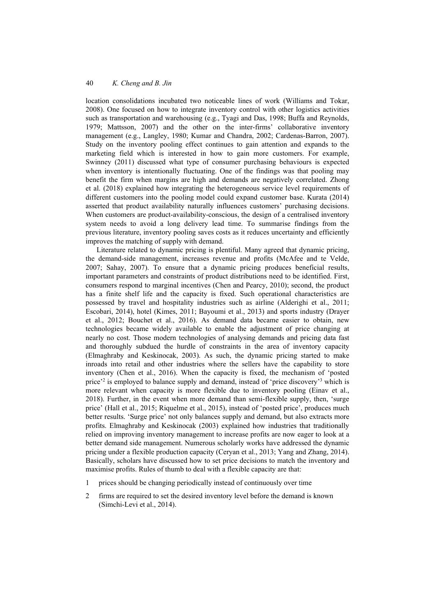location consolidations incubated two noticeable lines of work (Williams and Tokar, 2008). One focused on how to integrate inventory control with other logistics activities such as transportation and warehousing (e.g., Tyagi and Das, 1998; Buffa and Reynolds, 1979; Mattsson, 2007) and the other on the inter-firms' collaborative inventory management (e.g., Langley, 1980; Kumar and Chandra, 2002; Cardenas-Barron, 2007). Study on the inventory pooling effect continues to gain attention and expands to the marketing field which is interested in how to gain more customers. For example, Swinney (2011) discussed what type of consumer purchasing behaviours is expected when inventory is intentionally fluctuating. One of the findings was that pooling may benefit the firm when margins are high and demands are negatively correlated. Zhong et al. (2018) explained how integrating the heterogeneous service level requirements of different customers into the pooling model could expand customer base. Kurata (2014) asserted that product availability naturally influences customers' purchasing decisions. When customers are product-availability-conscious, the design of a centralised inventory system needs to avoid a long delivery lead time. To summarise findings from the previous literature, inventory pooling saves costs as it reduces uncertainty and efficiently improves the matching of supply with demand.

Literature related to dynamic pricing is plentiful. Many agreed that dynamic pricing, the demand-side management, increases revenue and profits (McAfee and te Velde, 2007; Sahay, 2007). To ensure that a dynamic pricing produces beneficial results, important parameters and constraints of product distributions need to be identified. First, consumers respond to marginal incentives (Chen and Pearcy, 2010); second, the product has a finite shelf life and the capacity is fixed. Such operational characteristics are possessed by travel and hospitality industries such as airline (Alderighi et al., 2011; Escobari, 2014), hotel (Kimes, 2011; Bayoumi et al., 2013) and sports industry (Drayer et al., 2012; Bouchet et al., 2016). As demand data became easier to obtain, new technologies became widely available to enable the adjustment of price changing at nearly no cost. Those modern technologies of analysing demands and pricing data fast and thoroughly subdued the hurdle of constraints in the area of inventory capacity (Elmaghraby and Keskinocak, 2003). As such, the dynamic pricing started to make inroads into retail and other industries where the sellers have the capability to store inventory (Chen et al., 2016). When the capacity is fixed, the mechanism of 'posted price'2 is employed to balance supply and demand, instead of 'price discovery'3 which is more relevant when capacity is more flexible due to inventory pooling (Einav et al., 2018). Further, in the event when more demand than semi-flexible supply, then, 'surge price' (Hall et al., 2015; Riquelme et al., 2015), instead of 'posted price', produces much better results. 'Surge price' not only balances supply and demand, but also extracts more profits. Elmaghraby and Keskinocak (2003) explained how industries that traditionally relied on improving inventory management to increase profits are now eager to look at a better demand side management. Numerous scholarly works have addressed the dynamic pricing under a flexible production capacity (Ceryan et al., 2013; Yang and Zhang, 2014). Basically, scholars have discussed how to set price decisions to match the inventory and maximise profits. Rules of thumb to deal with a flexible capacity are that:

- 1 prices should be changing periodically instead of continuously over time
- 2 firms are required to set the desired inventory level before the demand is known (Simchi-Levi et al., 2014).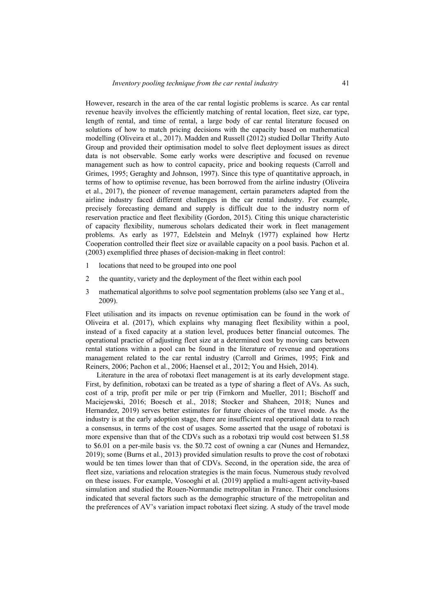However, research in the area of the car rental logistic problems is scarce. As car rental revenue heavily involves the efficiently matching of rental location, fleet size, car type, length of rental, and time of rental, a large body of car rental literature focused on solutions of how to match pricing decisions with the capacity based on mathematical modelling (Oliveira et al., 2017). Madden and Russell (2012) studied Dollar Thrifty Auto Group and provided their optimisation model to solve fleet deployment issues as direct data is not observable. Some early works were descriptive and focused on revenue management such as how to control capacity, price and booking requests (Carroll and Grimes, 1995; Geraghty and Johnson, 1997). Since this type of quantitative approach, in terms of how to optimise revenue, has been borrowed from the airline industry (Oliveira et al., 2017), the pioneer of revenue management, certain parameters adapted from the airline industry faced different challenges in the car rental industry. For example, precisely forecasting demand and supply is difficult due to the industry norm of reservation practice and fleet flexibility (Gordon, 2015). Citing this unique characteristic of capacity flexibility, numerous scholars dedicated their work in fleet management problems. As early as 1977, Edelstein and Melnyk (1977) explained how Hertz Cooperation controlled their fleet size or available capacity on a pool basis. Pachon et al. (2003) exemplified three phases of decision-making in fleet control:

- 1 locations that need to be grouped into one pool
- 2 the quantity, variety and the deployment of the fleet within each pool
- 3 mathematical algorithms to solve pool segmentation problems (also see Yang et al., 2009).

Fleet utilisation and its impacts on revenue optimisation can be found in the work of Oliveira et al. (2017), which explains why managing fleet flexibility within a pool, instead of a fixed capacity at a station level, produces better financial outcomes. The operational practice of adjusting fleet size at a determined cost by moving cars between rental stations within a pool can be found in the literature of revenue and operations management related to the car rental industry (Carroll and Grimes, 1995; Fink and Reiners, 2006; Pachon et al., 2006; Haensel et al., 2012; You and Hsieh, 2014).

Literature in the area of robotaxi fleet management is at its early development stage. First, by definition, robotaxi can be treated as a type of sharing a fleet of AVs. As such, cost of a trip, profit per mile or per trip (Firnkorn and Mueller, 2011; Bischoff and Maciejewski, 2016; Boesch et al., 2018; Stocker and Shaheen, 2018; Nunes and Hernandez, 2019) serves better estimates for future choices of the travel mode. As the industry is at the early adoption stage, there are insufficient real operational data to reach a consensus, in terms of the cost of usages. Some asserted that the usage of robotaxi is more expensive than that of the CDVs such as a robotaxi trip would cost between \$1.58 to \$6.01 on a per-mile basis vs. the \$0.72 cost of owning a car (Nunes and Hernandez, 2019); some (Burns et al., 2013) provided simulation results to prove the cost of robotaxi would be ten times lower than that of CDVs. Second, in the operation side, the area of fleet size, variations and relocation strategies is the main focus. Numerous study revolved on these issues. For example, Vosooghi et al. (2019) applied a multi-agent activity-based simulation and studied the Rouen-Normandie metropolitan in France. Their conclusions indicated that several factors such as the demographic structure of the metropolitan and the preferences of AV's variation impact robotaxi fleet sizing. A study of the travel mode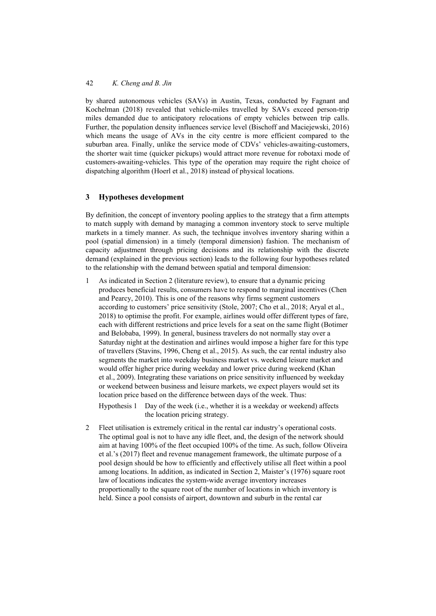by shared autonomous vehicles (SAVs) in Austin, Texas, conducted by Fagnant and Kochelman (2018) revealed that vehicle-miles travelled by SAVs exceed person-trip miles demanded due to anticipatory relocations of empty vehicles between trip calls. Further, the population density influences service level (Bischoff and Maciejewski, 2016) which means the usage of AVs in the city centre is more efficient compared to the suburban area. Finally, unlike the service mode of CDVs' vehicles-awaiting-customers, the shorter wait time (quicker pickups) would attract more revenue for robotaxi mode of customers-awaiting-vehicles. This type of the operation may require the right choice of dispatching algorithm (Hoerl et al., 2018) instead of physical locations.

## **3 Hypotheses development**

By definition, the concept of inventory pooling applies to the strategy that a firm attempts to match supply with demand by managing a common inventory stock to serve multiple markets in a timely manner. As such, the technique involves inventory sharing within a pool (spatial dimension) in a timely (temporal dimension) fashion. The mechanism of capacity adjustment through pricing decisions and its relationship with the discrete demand (explained in the previous section) leads to the following four hypotheses related to the relationship with the demand between spatial and temporal dimension:

1 As indicated in Section 2 (literature review), to ensure that a dynamic pricing produces beneficial results, consumers have to respond to marginal incentives (Chen and Pearcy, 2010). This is one of the reasons why firms segment customers according to customers' price sensitivity (Stole, 2007; Cho et al., 2018; Aryal et al., 2018) to optimise the profit. For example, airlines would offer different types of fare, each with different restrictions and price levels for a seat on the same flight (Botimer and Belobaba, 1999). In general, business travelers do not normally stay over a Saturday night at the destination and airlines would impose a higher fare for this type of travellers (Stavins, 1996, Cheng et al., 2015). As such, the car rental industry also segments the market into weekday business market vs. weekend leisure market and would offer higher price during weekday and lower price during weekend (Khan et al., 2009). Integrating these variations on price sensitivity influenced by weekday or weekend between business and leisure markets, we expect players would set its location price based on the difference between days of the week. Thus:

Hypothesis 1 Day of the week (i.e., whether it is a weekday or weekend) affects the location pricing strategy.

2 Fleet utilisation is extremely critical in the rental car industry's operational costs. The optimal goal is not to have any idle fleet, and, the design of the network should aim at having 100% of the fleet occupied 100% of the time. As such, follow Oliveira et al.'s (2017) fleet and revenue management framework, the ultimate purpose of a pool design should be how to efficiently and effectively utilise all fleet within a pool among locations. In addition, as indicated in Section 2, Maister's (1976) square root law of locations indicates the system-wide average inventory increases proportionally to the square root of the number of locations in which inventory is held. Since a pool consists of airport, downtown and suburb in the rental car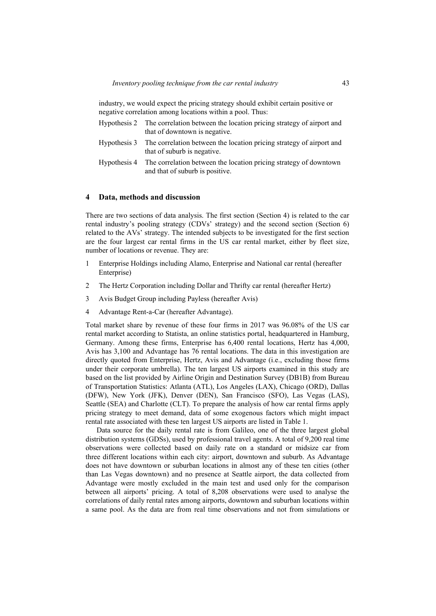industry, we would expect the pricing strategy should exhibit certain positive or negative correlation among locations within a pool. Thus:

| Hypothesis 2 The correlation between the location pricing strategy of airport and<br>that of downtown is negative. |
|--------------------------------------------------------------------------------------------------------------------|
| Hypothesis 3 The correlation between the location pricing strategy of airport and<br>that of suburb is negative.   |
| Hypothesis 4 The correlation between the location pricing strategy of downtown<br>and that of suburb is positive.  |

### **4 Data, methods and discussion**

There are two sections of data analysis. The first section (Section 4) is related to the car rental industry's pooling strategy (CDVs' strategy) and the second section (Section 6) related to the AVs' strategy. The intended subjects to be investigated for the first section are the four largest car rental firms in the US car rental market, either by fleet size, number of locations or revenue. They are:

- 1 Enterprise Holdings including Alamo, Enterprise and National car rental (hereafter Enterprise)
- 2 The Hertz Corporation including Dollar and Thrifty car rental (hereafter Hertz)
- 3 Avis Budget Group including Payless (hereafter Avis)
- 4 Advantage Rent-a-Car (hereafter Advantage).

Total market share by revenue of these four firms in 2017 was 96.08% of the US car rental market according to Statista, an online statistics portal, headquartered in Hamburg, Germany. Among these firms, Enterprise has 6,400 rental locations, Hertz has 4,000, Avis has 3,100 and Advantage has 76 rental locations. The data in this investigation are directly quoted from Enterprise, Hertz, Avis and Advantage (i.e., excluding those firms under their corporate umbrella). The ten largest US airports examined in this study are based on the list provided by Airline Origin and Destination Survey (DB1B) from Bureau of Transportation Statistics: Atlanta (ATL), Los Angeles (LAX), Chicago (ORD), Dallas (DFW), New York (JFK), Denver (DEN), San Francisco (SFO), Las Vegas (LAS), Seattle (SEA) and Charlotte (CLT). To prepare the analysis of how car rental firms apply pricing strategy to meet demand, data of some exogenous factors which might impact rental rate associated with these ten largest US airports are listed in Table 1.

Data source for the daily rental rate is from Galileo, one of the three largest global distribution systems (GDSs), used by professional travel agents. A total of 9,200 real time observations were collected based on daily rate on a standard or midsize car from three different locations within each city: airport, downtown and suburb. As Advantage does not have downtown or suburban locations in almost any of these ten cities (other than Las Vegas downtown) and no presence at Seattle airport, the data collected from Advantage were mostly excluded in the main test and used only for the comparison between all airports' pricing. A total of 8,208 observations were used to analyse the correlations of daily rental rates among airports, downtown and suburban locations within a same pool. As the data are from real time observations and not from simulations or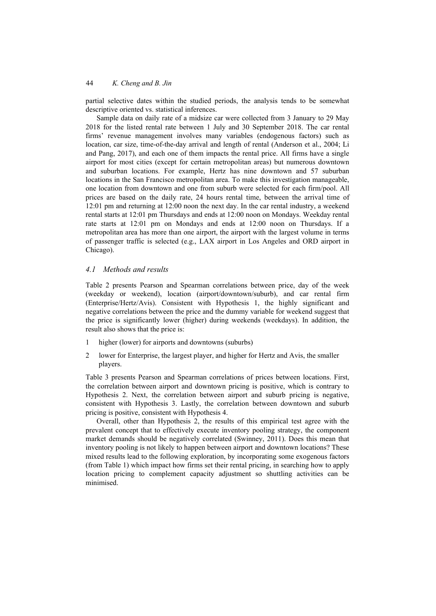partial selective dates within the studied periods, the analysis tends to be somewhat descriptive oriented vs. statistical inferences.

Sample data on daily rate of a midsize car were collected from 3 January to 29 May 2018 for the listed rental rate between 1 July and 30 September 2018. The car rental firms' revenue management involves many variables (endogenous factors) such as location, car size, time-of-the-day arrival and length of rental (Anderson et al., 2004; Li and Pang, 2017), and each one of them impacts the rental price. All firms have a single airport for most cities (except for certain metropolitan areas) but numerous downtown and suburban locations. For example, Hertz has nine downtown and 57 suburban locations in the San Francisco metropolitan area. To make this investigation manageable, one location from downtown and one from suburb were selected for each firm/pool. All prices are based on the daily rate, 24 hours rental time, between the arrival time of 12:01 pm and returning at 12:00 noon the next day. In the car rental industry, a weekend rental starts at 12:01 pm Thursdays and ends at 12:00 noon on Mondays. Weekday rental rate starts at 12:01 pm on Mondays and ends at 12:00 noon on Thursdays. If a metropolitan area has more than one airport, the airport with the largest volume in terms of passenger traffic is selected (e.g., LAX airport in Los Angeles and ORD airport in Chicago).

### *4.1 Methods and results*

Table 2 presents Pearson and Spearman correlations between price, day of the week (weekday or weekend), location (airport/downtown/suburb), and car rental firm (Enterprise/Hertz/Avis). Consistent with Hypothesis 1, the highly significant and negative correlations between the price and the dummy variable for weekend suggest that the price is significantly lower (higher) during weekends (weekdays). In addition, the result also shows that the price is:

- 1 higher (lower) for airports and downtowns (suburbs)
- 2 lower for Enterprise, the largest player, and higher for Hertz and Avis, the smaller players.

Table 3 presents Pearson and Spearman correlations of prices between locations. First, the correlation between airport and downtown pricing is positive, which is contrary to Hypothesis 2. Next, the correlation between airport and suburb pricing is negative, consistent with Hypothesis 3. Lastly, the correlation between downtown and suburb pricing is positive, consistent with Hypothesis 4.

Overall, other than Hypothesis 2, the results of this empirical test agree with the prevalent concept that to effectively execute inventory pooling strategy, the component market demands should be negatively correlated (Swinney, 2011). Does this mean that inventory pooling is not likely to happen between airport and downtown locations? These mixed results lead to the following exploration, by incorporating some exogenous factors (from Table 1) which impact how firms set their rental pricing, in searching how to apply location pricing to complement capacity adjustment so shuttling activities can be minimised.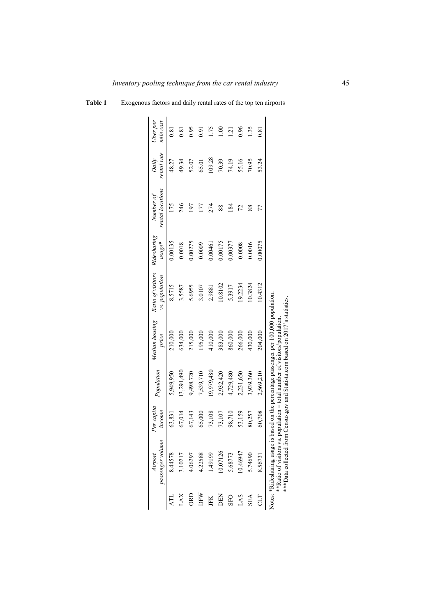|            | passenger volume<br>Airport                                                                                                          | Per capita<br>income | Population | price                                                                                                                    | Median housing Ratio of visitors<br>vs. population | Ridesharing<br>$usage*$ | rental locations<br>Number of | rental rate<br>Daily | Jber per<br>mile cost |
|------------|--------------------------------------------------------------------------------------------------------------------------------------|----------------------|------------|--------------------------------------------------------------------------------------------------------------------------|----------------------------------------------------|-------------------------|-------------------------------|----------------------|-----------------------|
|            | 8.44578                                                                                                                              | 63,831               | 5,949,950  | 210,000                                                                                                                  | 8.5715                                             | 0.00135                 | 175                           | 48.27                | 0.81                  |
| <b>XVT</b> | 3.10217                                                                                                                              | 67,014               | 13,291,490 | 634,000                                                                                                                  | 3.5587                                             | 0.0018                  | 246                           | 49.34                | $\overline{0.81}$     |
| <b>ORD</b> | 4.06297                                                                                                                              | 67,143               | 9,498,720  | 215,000                                                                                                                  | 5.6955                                             | 0.00275                 | $-61$                         | 52.07                | 0.95                  |
| DFW        | 4.22588                                                                                                                              | 65,000               | 7,539,710  | 195,000                                                                                                                  | 3.0107                                             | 0.0009                  |                               | 65.01                | 0.91                  |
| JFK        | 1.49199                                                                                                                              | 73,108               | 19,979,480 | 410,000                                                                                                                  | 2.9881                                             | 0.00461                 |                               | 109.28               | 1.75                  |
| DEN        | 10.07126                                                                                                                             | 73,107               | 2,932,420  | 383,000                                                                                                                  | 10.8102                                            | 0.00175                 | 88                            | 70.39                | $\frac{8}{1}$         |
| SFO        | 5.68773                                                                                                                              | 98,710               | 4,729,480  | 860,000                                                                                                                  | 5.3917                                             | 0.00377                 | $\overline{84}$               | 74.19                | <u>์ล</u>             |
| LAS        | 10.46947                                                                                                                             | 53,159               | 2,231,650  | 266,000                                                                                                                  | 19.2234                                            | 0.0008                  |                               | 55.16                | 0.96                  |
| <b>SEA</b> | 5.74690                                                                                                                              | 80,257               | 3,939,360  | 430,000                                                                                                                  | 10.3824                                            | 0.0016                  | 88                            | 70.95                | 1.35                  |
|            | 8.56731                                                                                                                              | 60,708               | 2,569,210  | 204,000                                                                                                                  | 0.4312                                             | 0.00075                 | 77                            | 53.24                | 5<br>0.81             |
|            | ***Data collected from Census.gov and Statista.com based on 2017's statistics.<br>Notes: *Ridesharing usage<br>**Ratio of visitors v |                      |            | is based on the percentage passenger per 100,000 population<br>$\alpha$ population = total number of visitors/population |                                                    |                         |                               |                      |                       |

### **Table 1** Exogenous factors and daily rental rates of the top ten airports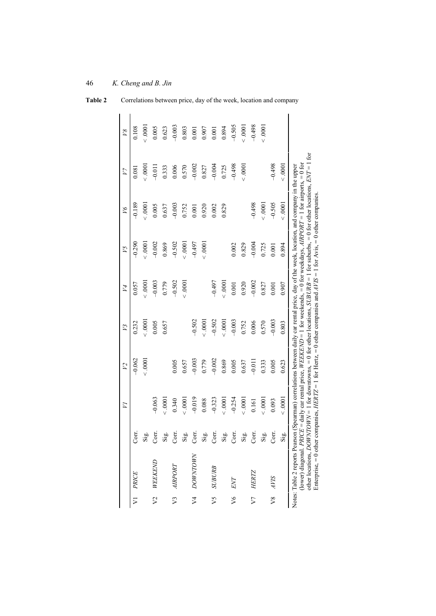|                |                                                                                                                                                                                                                                                                                                                                                                                                                                                                                                                                                                            |       | $\overline{Z}$  | $\overline{V}$ | V3       | V4       | V5       | $\beta$  | $V$ 7    | $\overline{18}$ |
|----------------|----------------------------------------------------------------------------------------------------------------------------------------------------------------------------------------------------------------------------------------------------------------------------------------------------------------------------------------------------------------------------------------------------------------------------------------------------------------------------------------------------------------------------------------------------------------------------|-------|-----------------|----------------|----------|----------|----------|----------|----------|-----------------|
|                | V1 PRICE                                                                                                                                                                                                                                                                                                                                                                                                                                                                                                                                                                   | Corr. |                 | $-0.062$       | 0.232    | 0.057    | $-0.290$ | $-0.189$ | 0.081    | 0.108           |
|                |                                                                                                                                                                                                                                                                                                                                                                                                                                                                                                                                                                            | Sig.  |                 | 0001           | 0000     | 0000     | 0000     | 0000     | 0000     | 0000            |
| $\sqrt{2}$     | WEEKEND                                                                                                                                                                                                                                                                                                                                                                                                                                                                                                                                                                    | Corr. | $-0.063$        |                | 0.005    | $-0.003$ | $-0.002$ | 0.005    | $-0.011$ | 0.005           |
|                |                                                                                                                                                                                                                                                                                                                                                                                                                                                                                                                                                                            | Sig.  | 0000            |                | 0.657    | 0.779    | 0.869    | 0.637    | 0.333    | 0.623           |
|                | V3 AIRPORT                                                                                                                                                                                                                                                                                                                                                                                                                                                                                                                                                                 | Corr. | 0.340           | 0.005          |          | $-0.502$ | $-0.502$ | $-0.003$ | 0.006    | $-0.003$        |
|                |                                                                                                                                                                                                                                                                                                                                                                                                                                                                                                                                                                            | Sig.  | 0001            | 0.657          |          | 0001     | 0000     | 0.752    | 0.570    | 0.803           |
| $\overline{V}$ | <b>DOWNTOWN</b>                                                                                                                                                                                                                                                                                                                                                                                                                                                                                                                                                            | Corr. | $-0.019$        | $-0.003$       | $-0.502$ |          | $-0.497$ | 0.001    | $-0.002$ | 0.001           |
|                |                                                                                                                                                                                                                                                                                                                                                                                                                                                                                                                                                                            | Sig.  | 0.088           | 0.779          | 0001     |          | 0001     | 0.920    | 0.827    | 0.907           |
| V5             | <b>SUBURB</b>                                                                                                                                                                                                                                                                                                                                                                                                                                                                                                                                                              | Corr. | $-0.323$        | $-0.002$       | $-0.502$ | $-0.497$ |          | 0.002    | $-0.004$ | 0.001           |
|                |                                                                                                                                                                                                                                                                                                                                                                                                                                                                                                                                                                            | Sig.  | 0000            | 0.869          | 0000     | 0000     |          | 0.829    | 0.725    | 0.894           |
| $\sqrt{6}$     | ENT                                                                                                                                                                                                                                                                                                                                                                                                                                                                                                                                                                        | Corr. | $-0.254$        | 0.005          | $-0.003$ | 0.001    | 0.002    |          | $-0.498$ | $-0.505$        |
|                |                                                                                                                                                                                                                                                                                                                                                                                                                                                                                                                                                                            | Sig.  | 0001            | 0.637          | 0.752    | 0.920    | 0.829    |          | 0001     | 0001            |
| V              | <b>HERTZ</b>                                                                                                                                                                                                                                                                                                                                                                                                                                                                                                                                                               | Corr. | 0.161           | $-0.011$       | 0.006    | $-0.002$ | $-0.004$ | $-0.498$ |          | $-0.498$        |
|                |                                                                                                                                                                                                                                                                                                                                                                                                                                                                                                                                                                            | Sig.  | 0000            | 0.333          | 0.570    | 0.827    | 0.725    | 0001     |          | 0001            |
| $\sqrt{8}$     | <b>SIAF</b>                                                                                                                                                                                                                                                                                                                                                                                                                                                                                                                                                                | Corr. | 0.093           | 0.005          | $-0.003$ | 0.001    | 0.001    | $-0.505$ | $-0.498$ |                 |
|                |                                                                                                                                                                                                                                                                                                                                                                                                                                                                                                                                                                            | Sig.  | 000000000000000 | 0.623          | 0.803    | 0.907    | 0.894    | 0001     | 0001     |                 |
|                | other locations, <i>DOWNTOWN</i> = 1 for downtowns, = 0 for other locations, <i>SUBURB</i> = 1 for suburbs, = 0 for other locations, <i>ENT</i> = 1 for<br>(lower) diagonal. <i>PRICE</i> = daily car rental price, WEEKEND = 1 for weekends, = 0 for weekdays, AIRPORT = 1 for airports, = 0 for<br>Notes: Table 2 reports Pearson (Spearman) correlations between daily car rental price, day of the week, location, and company in the upper<br>Enterprise, = 0 other companies, HERIZ = 1 for Hertz, = 0 other companies and $A/IS = 1$ for Avis, = 0 other companies. |       |                 |                |          |          |          |          |          |                 |

**Table 2** Correlations between price, day of the week, location and company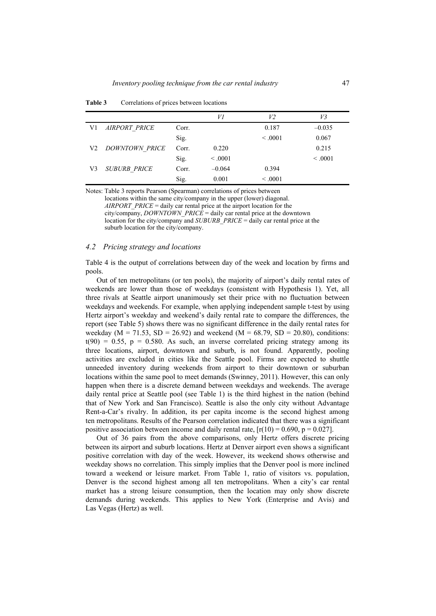|                |                       |       | V1       | V2      | V3       |
|----------------|-----------------------|-------|----------|---------|----------|
| V1             | <b>AIRPORT PRICE</b>  | Corr. |          | 0.187   | $-0.035$ |
|                |                       | Sig.  |          | < 0.001 | 0.067    |
| V <sub>2</sub> | <b>DOWNTOWN PRICE</b> | Corr. | 0.220    |         | 0.215    |
|                |                       | Sig.  | < 0.001  |         | < 0.001  |
| V <sub>3</sub> | <b>SUBURB PRICE</b>   | Corr. | $-0.064$ | 0.394   |          |
|                |                       | Sig.  | 0.001    | < 0.001 |          |

**Table 3** Correlations of prices between locations

Notes: Table 3 reports Pearson (Spearman) correlations of prices between locations within the same city/company in the upper (lower) diagonal. *AIRPORT*\_*PRICE* = daily car rental price at the airport location for the city/company, *DOWNTOWN*  $PRICE =$  daily car rental price at the downtown location for the city/company and *SUBURB*\_*PRICE* = daily car rental price at the suburb location for the city/company.

### *4.2 Pricing strategy and locations*

Table 4 is the output of correlations between day of the week and location by firms and pools.

Out of ten metropolitans (or ten pools), the majority of airport's daily rental rates of weekends are lower than those of weekdays (consistent with Hypothesis 1). Yet, all three rivals at Seattle airport unanimously set their price with no fluctuation between weekdays and weekends. For example, when applying independent sample t-test by using Hertz airport's weekday and weekend's daily rental rate to compare the differences, the report (see Table 5) shows there was no significant difference in the daily rental rates for weekday ( $M = 71.53$ ,  $SD = 26.92$ ) and weekend ( $M = 68.79$ ,  $SD = 20.80$ ), conditions:  $t(90) = 0.55$ ,  $p = 0.580$ . As such, an inverse correlated pricing strategy among its three locations, airport, downtown and suburb, is not found. Apparently, pooling activities are excluded in cities like the Seattle pool. Firms are expected to shuttle unneeded inventory during weekends from airport to their downtown or suburban locations within the same pool to meet demands (Swinney, 2011). However, this can only happen when there is a discrete demand between weekdays and weekends. The average daily rental price at Seattle pool (see Table 1) is the third highest in the nation (behind that of New York and San Francisco). Seattle is also the only city without Advantage Rent-a-Car's rivalry. In addition, its per capita income is the second highest among ten metropolitans. Results of the Pearson correlation indicated that there was a significant positive association between income and daily rental rate,  $[r(10) = 0.690, p = 0.027]$ .

Out of 36 pairs from the above comparisons, only Hertz offers discrete pricing between its airport and suburb locations. Hertz at Denver airport even shows a significant positive correlation with day of the week. However, its weekend shows otherwise and weekday shows no correlation. This simply implies that the Denver pool is more inclined toward a weekend or leisure market. From Table 1, ratio of visitors vs. population, Denver is the second highest among all ten metropolitans. When a city's car rental market has a strong leisure consumption, then the location may only show discrete demands during weekends. This applies to New York (Enterprise and Avis) and Las Vegas (Hertz) as well.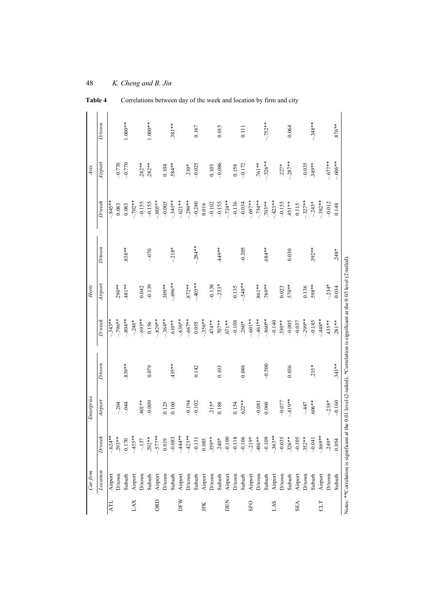| $1.000**$<br>$1.000**$<br>$-.752**$<br>$-.348**$<br>$D$ /town<br>$.381**$<br>$.876**$<br>0.167<br>0.015<br>0.064<br>0.111<br>$-.606**$<br>$-.526**$<br>$-.287**$<br>$-.677$ **<br>Airport<br>$-0.770$<br>$.282**$<br>$-0.035$<br>$-0.770$<br>$.282**$<br>.584**<br>$-0.025$<br>$-0.086$<br>.761 **<br>$.349**$<br>$-0.172$<br>$.210*$<br>$.227*$<br>0.104<br>0.103<br>0.158<br>$-.754**$<br>$-423**$<br>$-845**$<br>$-.702**$<br>$-.805**$<br>$-345**$<br>$-.621**$<br>$-.289**$<br>$-.724**$<br>$-.697**$<br>$-.382**$<br>$D\!$<br>$-.327**$<br>$.703**$<br>$-0.005$<br>$-0.155$<br>$-.243*$<br>$-0.155$<br>$-0.155$<br>$-0.280$<br>$-0.155$<br>$-0.136$<br>.451**<br>$-0.012$<br>$-0.102$<br>$-0.034$<br>0.016<br>0.115<br>0.083<br>0.083<br>0.148<br>$-.284**$<br><b>D</b> /town<br>$-.218*$<br>**858.<br>** 677<br>$-0.205$<br>.684**<br>$.392***$<br>$-0.070$<br>$.248*$<br>0.030<br>$-.696**$<br>$-405**$<br>$-.548**$<br>Airport<br>**181.<br>$.309**$<br>$.872***$<br>$-0.138$<br>**198<br>$-234*$<br>$.290***$<br>$-0.139$<br>$-.253*$<br>**69.<br>.570**<br>**865.<br>0.135<br>0.023<br>0.136<br>0.042<br>0.034<br>$-.804**$<br>$-.636**$<br>$-.667**$<br>$-.461**$<br>$-.860**$<br>$-.299**$<br>$-448**$<br>$-.343**$<br>$-.796**$<br>$-.693**$<br>$-829**$<br>$-.364**$<br>$-.356**$<br>$-.601**$<br>$D$ /wee $k$<br>$.281**$<br>$-.246*$<br>$.474**$<br>$.707**$<br>$-0.140$<br>$-0.005$<br>$-0.145$<br>$.610**$<br>$.330**$<br>$.435***$<br>**1671.<br>$-0.108$<br>$-0.037$<br>0.156<br>0.055<br>$.260*$<br><b>D</b> /town<br>$.343**$<br>$.839***$<br>$435**$<br>$-0.500$<br>0.079<br>0.036<br>0.142<br>0.048<br>$.215*$<br>0.103<br>$-419**$<br>$-0.160$<br>Airport<br>$-238*$<br>$-0.009$<br>$401**$<br>$-0.077$<br>*** 909<br>$-0.194$<br>$-0.102$<br>0.125<br>$.622**$<br>$-204$<br>$-.044$<br>0.160<br>$.215*$<br>0.188<br>0.154<br>$-0.081$<br>$-447$<br>0.060<br>$-.624**$<br>$-455**$<br>$-.577$ **<br>$-444**$<br>$-.423**$<br>$-.363**$<br>$-.869**$<br>**984<br>$-0.109$<br>$.293***$<br>$-219*$<br>$-0.035$<br>$D$ /wee $k$<br>$-0.083$<br>$-0.131$<br>$.240*$<br>$-0.100$<br>$-0.106$<br>$-0.105$<br>$.352***$<br>$.359***$<br>$.326***$<br>$.292**$<br>$-0.118$<br>$-.137$<br>0.019<br>$-0.041$<br>0.085<br>$249*$<br>$0.170$<br>0.054<br>Location<br>$D$ /town<br>Airport<br>Airport<br>Airport<br>$D$ town<br>Airport<br>$D$ town<br>Airport<br>$D$ town<br>Airport<br>Airport<br>$\mathbf{D}/\mathbf{town}$<br>Suburb<br>$D$ rown<br>Airport<br>D/town<br>Suburb<br>$D$ town<br>Suburb<br>Suburb<br>Suburb<br>Airport<br>$D$ /town<br>Airport<br>D/town<br>Suburb<br>Suburb<br>Suburb<br>Suburb<br>Suburb<br>DFW<br><b>GRD</b><br>XYTI<br>AТL<br>DEN<br><b>SFO</b><br><b>SVT</b><br><b>SEA</b><br>ГIJ<br>JFK | Carfrm | Enterprise |  | Hertz |  | Avis |  |
|----------------------------------------------------------------------------------------------------------------------------------------------------------------------------------------------------------------------------------------------------------------------------------------------------------------------------------------------------------------------------------------------------------------------------------------------------------------------------------------------------------------------------------------------------------------------------------------------------------------------------------------------------------------------------------------------------------------------------------------------------------------------------------------------------------------------------------------------------------------------------------------------------------------------------------------------------------------------------------------------------------------------------------------------------------------------------------------------------------------------------------------------------------------------------------------------------------------------------------------------------------------------------------------------------------------------------------------------------------------------------------------------------------------------------------------------------------------------------------------------------------------------------------------------------------------------------------------------------------------------------------------------------------------------------------------------------------------------------------------------------------------------------------------------------------------------------------------------------------------------------------------------------------------------------------------------------------------------------------------------------------------------------------------------------------------------------------------------------------------------------------------------------------------------------------------------------------------------------------------------------------------------------------------------------------------------------------------------------------------------------------------------------------------------------------------------------------------------------------------------------------------------------------------------------------------------------------------------------------------------------------------------------------------------------------------------------------------------------------------------|--------|------------|--|-------|--|------|--|
|                                                                                                                                                                                                                                                                                                                                                                                                                                                                                                                                                                                                                                                                                                                                                                                                                                                                                                                                                                                                                                                                                                                                                                                                                                                                                                                                                                                                                                                                                                                                                                                                                                                                                                                                                                                                                                                                                                                                                                                                                                                                                                                                                                                                                                                                                                                                                                                                                                                                                                                                                                                                                                                                                                                                              |        |            |  |       |  |      |  |
|                                                                                                                                                                                                                                                                                                                                                                                                                                                                                                                                                                                                                                                                                                                                                                                                                                                                                                                                                                                                                                                                                                                                                                                                                                                                                                                                                                                                                                                                                                                                                                                                                                                                                                                                                                                                                                                                                                                                                                                                                                                                                                                                                                                                                                                                                                                                                                                                                                                                                                                                                                                                                                                                                                                                              |        |            |  |       |  |      |  |
|                                                                                                                                                                                                                                                                                                                                                                                                                                                                                                                                                                                                                                                                                                                                                                                                                                                                                                                                                                                                                                                                                                                                                                                                                                                                                                                                                                                                                                                                                                                                                                                                                                                                                                                                                                                                                                                                                                                                                                                                                                                                                                                                                                                                                                                                                                                                                                                                                                                                                                                                                                                                                                                                                                                                              |        |            |  |       |  |      |  |
|                                                                                                                                                                                                                                                                                                                                                                                                                                                                                                                                                                                                                                                                                                                                                                                                                                                                                                                                                                                                                                                                                                                                                                                                                                                                                                                                                                                                                                                                                                                                                                                                                                                                                                                                                                                                                                                                                                                                                                                                                                                                                                                                                                                                                                                                                                                                                                                                                                                                                                                                                                                                                                                                                                                                              |        |            |  |       |  |      |  |
|                                                                                                                                                                                                                                                                                                                                                                                                                                                                                                                                                                                                                                                                                                                                                                                                                                                                                                                                                                                                                                                                                                                                                                                                                                                                                                                                                                                                                                                                                                                                                                                                                                                                                                                                                                                                                                                                                                                                                                                                                                                                                                                                                                                                                                                                                                                                                                                                                                                                                                                                                                                                                                                                                                                                              |        |            |  |       |  |      |  |
|                                                                                                                                                                                                                                                                                                                                                                                                                                                                                                                                                                                                                                                                                                                                                                                                                                                                                                                                                                                                                                                                                                                                                                                                                                                                                                                                                                                                                                                                                                                                                                                                                                                                                                                                                                                                                                                                                                                                                                                                                                                                                                                                                                                                                                                                                                                                                                                                                                                                                                                                                                                                                                                                                                                                              |        |            |  |       |  |      |  |
|                                                                                                                                                                                                                                                                                                                                                                                                                                                                                                                                                                                                                                                                                                                                                                                                                                                                                                                                                                                                                                                                                                                                                                                                                                                                                                                                                                                                                                                                                                                                                                                                                                                                                                                                                                                                                                                                                                                                                                                                                                                                                                                                                                                                                                                                                                                                                                                                                                                                                                                                                                                                                                                                                                                                              |        |            |  |       |  |      |  |
|                                                                                                                                                                                                                                                                                                                                                                                                                                                                                                                                                                                                                                                                                                                                                                                                                                                                                                                                                                                                                                                                                                                                                                                                                                                                                                                                                                                                                                                                                                                                                                                                                                                                                                                                                                                                                                                                                                                                                                                                                                                                                                                                                                                                                                                                                                                                                                                                                                                                                                                                                                                                                                                                                                                                              |        |            |  |       |  |      |  |
|                                                                                                                                                                                                                                                                                                                                                                                                                                                                                                                                                                                                                                                                                                                                                                                                                                                                                                                                                                                                                                                                                                                                                                                                                                                                                                                                                                                                                                                                                                                                                                                                                                                                                                                                                                                                                                                                                                                                                                                                                                                                                                                                                                                                                                                                                                                                                                                                                                                                                                                                                                                                                                                                                                                                              |        |            |  |       |  |      |  |
|                                                                                                                                                                                                                                                                                                                                                                                                                                                                                                                                                                                                                                                                                                                                                                                                                                                                                                                                                                                                                                                                                                                                                                                                                                                                                                                                                                                                                                                                                                                                                                                                                                                                                                                                                                                                                                                                                                                                                                                                                                                                                                                                                                                                                                                                                                                                                                                                                                                                                                                                                                                                                                                                                                                                              |        |            |  |       |  |      |  |
|                                                                                                                                                                                                                                                                                                                                                                                                                                                                                                                                                                                                                                                                                                                                                                                                                                                                                                                                                                                                                                                                                                                                                                                                                                                                                                                                                                                                                                                                                                                                                                                                                                                                                                                                                                                                                                                                                                                                                                                                                                                                                                                                                                                                                                                                                                                                                                                                                                                                                                                                                                                                                                                                                                                                              |        |            |  |       |  |      |  |
|                                                                                                                                                                                                                                                                                                                                                                                                                                                                                                                                                                                                                                                                                                                                                                                                                                                                                                                                                                                                                                                                                                                                                                                                                                                                                                                                                                                                                                                                                                                                                                                                                                                                                                                                                                                                                                                                                                                                                                                                                                                                                                                                                                                                                                                                                                                                                                                                                                                                                                                                                                                                                                                                                                                                              |        |            |  |       |  |      |  |
|                                                                                                                                                                                                                                                                                                                                                                                                                                                                                                                                                                                                                                                                                                                                                                                                                                                                                                                                                                                                                                                                                                                                                                                                                                                                                                                                                                                                                                                                                                                                                                                                                                                                                                                                                                                                                                                                                                                                                                                                                                                                                                                                                                                                                                                                                                                                                                                                                                                                                                                                                                                                                                                                                                                                              |        |            |  |       |  |      |  |
|                                                                                                                                                                                                                                                                                                                                                                                                                                                                                                                                                                                                                                                                                                                                                                                                                                                                                                                                                                                                                                                                                                                                                                                                                                                                                                                                                                                                                                                                                                                                                                                                                                                                                                                                                                                                                                                                                                                                                                                                                                                                                                                                                                                                                                                                                                                                                                                                                                                                                                                                                                                                                                                                                                                                              |        |            |  |       |  |      |  |
|                                                                                                                                                                                                                                                                                                                                                                                                                                                                                                                                                                                                                                                                                                                                                                                                                                                                                                                                                                                                                                                                                                                                                                                                                                                                                                                                                                                                                                                                                                                                                                                                                                                                                                                                                                                                                                                                                                                                                                                                                                                                                                                                                                                                                                                                                                                                                                                                                                                                                                                                                                                                                                                                                                                                              |        |            |  |       |  |      |  |
|                                                                                                                                                                                                                                                                                                                                                                                                                                                                                                                                                                                                                                                                                                                                                                                                                                                                                                                                                                                                                                                                                                                                                                                                                                                                                                                                                                                                                                                                                                                                                                                                                                                                                                                                                                                                                                                                                                                                                                                                                                                                                                                                                                                                                                                                                                                                                                                                                                                                                                                                                                                                                                                                                                                                              |        |            |  |       |  |      |  |
|                                                                                                                                                                                                                                                                                                                                                                                                                                                                                                                                                                                                                                                                                                                                                                                                                                                                                                                                                                                                                                                                                                                                                                                                                                                                                                                                                                                                                                                                                                                                                                                                                                                                                                                                                                                                                                                                                                                                                                                                                                                                                                                                                                                                                                                                                                                                                                                                                                                                                                                                                                                                                                                                                                                                              |        |            |  |       |  |      |  |
|                                                                                                                                                                                                                                                                                                                                                                                                                                                                                                                                                                                                                                                                                                                                                                                                                                                                                                                                                                                                                                                                                                                                                                                                                                                                                                                                                                                                                                                                                                                                                                                                                                                                                                                                                                                                                                                                                                                                                                                                                                                                                                                                                                                                                                                                                                                                                                                                                                                                                                                                                                                                                                                                                                                                              |        |            |  |       |  |      |  |
|                                                                                                                                                                                                                                                                                                                                                                                                                                                                                                                                                                                                                                                                                                                                                                                                                                                                                                                                                                                                                                                                                                                                                                                                                                                                                                                                                                                                                                                                                                                                                                                                                                                                                                                                                                                                                                                                                                                                                                                                                                                                                                                                                                                                                                                                                                                                                                                                                                                                                                                                                                                                                                                                                                                                              |        |            |  |       |  |      |  |
|                                                                                                                                                                                                                                                                                                                                                                                                                                                                                                                                                                                                                                                                                                                                                                                                                                                                                                                                                                                                                                                                                                                                                                                                                                                                                                                                                                                                                                                                                                                                                                                                                                                                                                                                                                                                                                                                                                                                                                                                                                                                                                                                                                                                                                                                                                                                                                                                                                                                                                                                                                                                                                                                                                                                              |        |            |  |       |  |      |  |
|                                                                                                                                                                                                                                                                                                                                                                                                                                                                                                                                                                                                                                                                                                                                                                                                                                                                                                                                                                                                                                                                                                                                                                                                                                                                                                                                                                                                                                                                                                                                                                                                                                                                                                                                                                                                                                                                                                                                                                                                                                                                                                                                                                                                                                                                                                                                                                                                                                                                                                                                                                                                                                                                                                                                              |        |            |  |       |  |      |  |
|                                                                                                                                                                                                                                                                                                                                                                                                                                                                                                                                                                                                                                                                                                                                                                                                                                                                                                                                                                                                                                                                                                                                                                                                                                                                                                                                                                                                                                                                                                                                                                                                                                                                                                                                                                                                                                                                                                                                                                                                                                                                                                                                                                                                                                                                                                                                                                                                                                                                                                                                                                                                                                                                                                                                              |        |            |  |       |  |      |  |
|                                                                                                                                                                                                                                                                                                                                                                                                                                                                                                                                                                                                                                                                                                                                                                                                                                                                                                                                                                                                                                                                                                                                                                                                                                                                                                                                                                                                                                                                                                                                                                                                                                                                                                                                                                                                                                                                                                                                                                                                                                                                                                                                                                                                                                                                                                                                                                                                                                                                                                                                                                                                                                                                                                                                              |        |            |  |       |  |      |  |
|                                                                                                                                                                                                                                                                                                                                                                                                                                                                                                                                                                                                                                                                                                                                                                                                                                                                                                                                                                                                                                                                                                                                                                                                                                                                                                                                                                                                                                                                                                                                                                                                                                                                                                                                                                                                                                                                                                                                                                                                                                                                                                                                                                                                                                                                                                                                                                                                                                                                                                                                                                                                                                                                                                                                              |        |            |  |       |  |      |  |
|                                                                                                                                                                                                                                                                                                                                                                                                                                                                                                                                                                                                                                                                                                                                                                                                                                                                                                                                                                                                                                                                                                                                                                                                                                                                                                                                                                                                                                                                                                                                                                                                                                                                                                                                                                                                                                                                                                                                                                                                                                                                                                                                                                                                                                                                                                                                                                                                                                                                                                                                                                                                                                                                                                                                              |        |            |  |       |  |      |  |
|                                                                                                                                                                                                                                                                                                                                                                                                                                                                                                                                                                                                                                                                                                                                                                                                                                                                                                                                                                                                                                                                                                                                                                                                                                                                                                                                                                                                                                                                                                                                                                                                                                                                                                                                                                                                                                                                                                                                                                                                                                                                                                                                                                                                                                                                                                                                                                                                                                                                                                                                                                                                                                                                                                                                              |        |            |  |       |  |      |  |
|                                                                                                                                                                                                                                                                                                                                                                                                                                                                                                                                                                                                                                                                                                                                                                                                                                                                                                                                                                                                                                                                                                                                                                                                                                                                                                                                                                                                                                                                                                                                                                                                                                                                                                                                                                                                                                                                                                                                                                                                                                                                                                                                                                                                                                                                                                                                                                                                                                                                                                                                                                                                                                                                                                                                              |        |            |  |       |  |      |  |
|                                                                                                                                                                                                                                                                                                                                                                                                                                                                                                                                                                                                                                                                                                                                                                                                                                                                                                                                                                                                                                                                                                                                                                                                                                                                                                                                                                                                                                                                                                                                                                                                                                                                                                                                                                                                                                                                                                                                                                                                                                                                                                                                                                                                                                                                                                                                                                                                                                                                                                                                                                                                                                                                                                                                              |        |            |  |       |  |      |  |
|                                                                                                                                                                                                                                                                                                                                                                                                                                                                                                                                                                                                                                                                                                                                                                                                                                                                                                                                                                                                                                                                                                                                                                                                                                                                                                                                                                                                                                                                                                                                                                                                                                                                                                                                                                                                                                                                                                                                                                                                                                                                                                                                                                                                                                                                                                                                                                                                                                                                                                                                                                                                                                                                                                                                              |        |            |  |       |  |      |  |
|                                                                                                                                                                                                                                                                                                                                                                                                                                                                                                                                                                                                                                                                                                                                                                                                                                                                                                                                                                                                                                                                                                                                                                                                                                                                                                                                                                                                                                                                                                                                                                                                                                                                                                                                                                                                                                                                                                                                                                                                                                                                                                                                                                                                                                                                                                                                                                                                                                                                                                                                                                                                                                                                                                                                              |        |            |  |       |  |      |  |
|                                                                                                                                                                                                                                                                                                                                                                                                                                                                                                                                                                                                                                                                                                                                                                                                                                                                                                                                                                                                                                                                                                                                                                                                                                                                                                                                                                                                                                                                                                                                                                                                                                                                                                                                                                                                                                                                                                                                                                                                                                                                                                                                                                                                                                                                                                                                                                                                                                                                                                                                                                                                                                                                                                                                              |        |            |  |       |  |      |  |

48 *K. Cheng and B. Jin*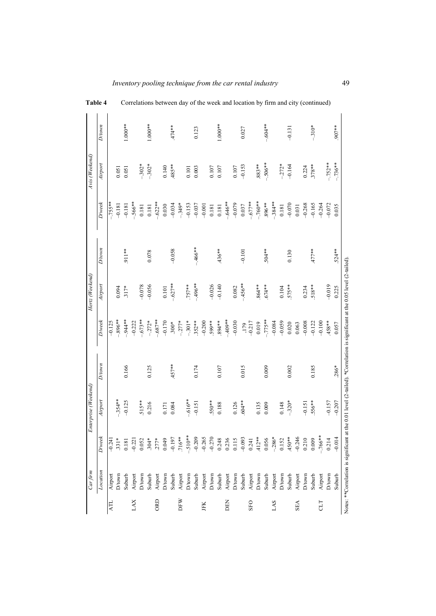|            | Car, firm                            |                 | Enterprise (Weekend) |                                                                                         |              | Hertz (Weekend) |           |           | Avis (Weekend) |           |
|------------|--------------------------------------|-----------------|----------------------|-----------------------------------------------------------------------------------------|--------------|-----------------|-----------|-----------|----------------|-----------|
|            | Location                             | $D$ /wee $\ell$ | Airport              | <b>D</b> /town                                                                          | $D$ /wee $k$ | Airport         | $D$ fown  | $D$ /week | Airport        | $D$ /town |
| <b>ATL</b> | Airport                              | $-0.241$        |                      |                                                                                         | $-0.125$     |                 |           | $-.755**$ |                |           |
|            | D/town                               | $.331*$         | $-.354**$            |                                                                                         | $-.896**$    | 0.094           |           | $-0.181$  | 0.051          |           |
|            | Suburb                               | 0.181           | $-0.125$             | 0.166                                                                                   | $-944**$     | $317*$          | .911**    | $-0.181$  | 0.051          | $1.000**$ |
| LAX        | Airport                              | $-0.221$        |                      |                                                                                         | $-0.222$     |                 |           | $-.566**$ |                |           |
|            | D/town                               | 0.052           | $.515**$             |                                                                                         | $-.673**$    | $-0.078$        |           | 0.181     | $-302*$        |           |
|            | Suburb                               | $.304*$         | 0.216                | 0.125                                                                                   | $-272*$      | $-0.056$        | 0.078     | 0.181     | $-.302*$       | $1.000**$ |
| ORD        | Airport                              | $.277*$         |                      |                                                                                         | $-687**$     |                 |           | $-.622**$ |                |           |
|            | D/town                               | 0.049           | 0.171                |                                                                                         | $-0.170$     | $0.101$         |           | 0.030     | 0.140          |           |
|            | Suburb                               | $-0.197$        | 0.084                | $.457**$                                                                                | $300*$       | $-.627**$       | $-0.058$  | $-0.034$  | .485**         | $.474**$  |
| DFW        | Airport                              | .716**          |                      |                                                                                         | $-277*$      |                 |           | $-.349*$  |                |           |
|            | $D$ /town                            | $-.510**$       | $-.616**$            |                                                                                         | $-.301*$     | $.757***$       |           | $-0.153$  | 0.101          |           |
|            | Suburb                               | $-0.209$        | $-0.151$             | 0.174                                                                                   | $.352***$    | $-496**$        | $-.466**$ | $-0.037$  | 0.003          | 0.123     |
| JFK        | Airport                              | $-0.265$        |                      |                                                                                         | $-0.200$     |                 |           | $-0.001$  |                |           |
|            | D/town                               | $-0.270$        | .550**               |                                                                                         | .599**       | $-0.026$        |           | 0.181     | 0.107          |           |
|            | Suburb                               | 0.248           | 0.188                | 0.107                                                                                   | **168.       | $-0.140$        | $.436**$  | 0.181     | $0.107\,$      | $1.000**$ |
| DEN        | Airport                              | 0.236           |                      |                                                                                         | $-409**$     |                 |           | $-646**$  |                |           |
|            | D/town                               | 0.115           | 0.126                |                                                                                         | $-0.030$     | 0.082           |           | $-0.079$  | 0.107          |           |
|            | Suburb                               | $-0.093$        | .604 **              | 0.015                                                                                   | .179         | $-456**$        | $-0.101$  | 0.037     | $-0.153$       | 0.027     |
| <b>GFO</b> | Airport                              | 0.241           |                      |                                                                                         | $-0.217$     |                 |           | $-.677**$ |                |           |
|            | D/town                               | $.412**$        | 0.135                |                                                                                         | 0.019        | $.864**$        |           | $-.760**$ | $.883**$       |           |
|            | Suburb                               | 0.056           | 0.009                | 0.009                                                                                   | $-.775**$    | $.674**$        | .504**    | $*896*$   | $-.506**$      | $-.604**$ |
| LAS        | Airport                              | $-286*$         |                      |                                                                                         | $-0.084$     |                 |           | $-.384**$ |                |           |
|            | $D$ /town                            | 0.152           | 0.148                |                                                                                         | $-0.059$     | 0.104           |           | 0.181     | $-272*$        |           |
|            | Suburb                               | $450**$         | $-.320*$             | 0.002                                                                                   | 0.020        | $.575**$        | 0.130     | $-0.070$  | $-0.164$       | $-0.131$  |
| <b>SEA</b> | Airport                              | $-0.246$        |                      |                                                                                         | 0.063        |                 |           | 0.031     |                |           |
|            | D/town                               | 0.210           | $-0.151$             |                                                                                         | $-0.008$     | 0.234           |           | $-0.268$  | 0.224          |           |
|            | Suburb                               | 0.009           | .556**               | 0.185                                                                                   | $-0.122$     | **818.          | $.477**$  | $-0.165$  | $.378***$      | $-.310*$  |
| <b>TD</b>  | Airport                              | $-.766**$       |                      |                                                                                         | $-0.100$     |                 |           | $-0.264$  |                |           |
|            | D/town                               | 0.214           | $-0.157$             |                                                                                         | 458**        | $-0.019$        |           | $-0.072$  | $-.752**$      |           |
|            | Suburb                               | $-0.014$        | $-0.207$             | $.286*$                                                                                 | 0.057        | 0.225           | $.524**$  | 0.035     | $-.736**$      | .907**    |
|            | Notes: ** Correlation is significant |                 |                      | at the 0.01 level (2-tailed). *Correlation is significant at the 0.05 level (2-tailed). |              |                 |           |           |                |           |

| <b>Table 4</b> | Correlations between day of the week and location by firm and city (continued) |
|----------------|--------------------------------------------------------------------------------|
|----------------|--------------------------------------------------------------------------------|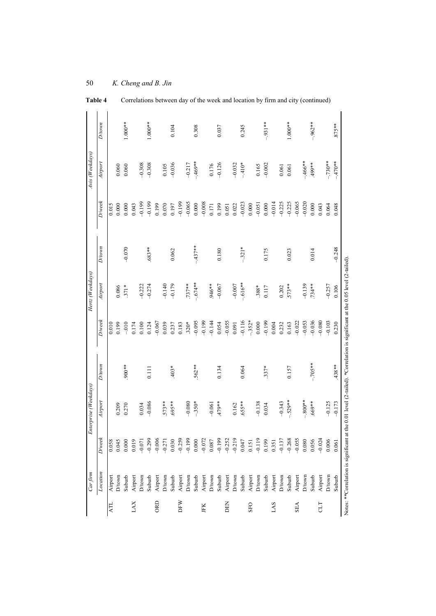| $D$ /wee $k$<br>$-0.065$<br>$-0.199$<br>$-0.065$<br>$-0.014$<br>$-0.225$<br>$-0.225$<br>$-0.020$<br>$-0.008$<br>$-0.199$<br>$-0.199$<br>$-0.023$<br>0.015<br>$0.000$<br>0.000<br>$0.070\,$<br>0.000<br>0.000<br>0.048<br>0.043<br>0.199<br>0.197<br>0.199<br>0.022<br>0.000<br>0.043<br>0.064<br>$-0.051$<br>0.000<br>0.051<br>0.171<br>$-437**$<br>$D$ town<br>$-0.070$<br>$-0.248$<br>.683**<br>$-.321*$<br>0.062<br>0.180<br>0.175<br>0.023<br>0.014<br>$-.674**$<br>$-.616**$<br>Airport<br>$-0.140$<br>$-0.179$<br>$.737***$<br>946**<br>$-0.139$<br>$-0.067$<br>$-0.007$<br>$.573**$<br>$-0.257$<br>$-0.222$<br>$-0.274$<br>.734 **<br>0.086<br>$371*$<br>$.388*$<br>0.117<br>0.202<br>$D$ /wee $k$<br>$-0.116$<br>$-352*$<br>$-0.036$<br>$-0.103$<br>$-0.055$<br>$-0.199$<br>$-0.053$<br>$-0.080$<br>$-0.095$<br>$-0.199$<br>$-0.144$<br>$-0.022$<br>$-0.067$<br>0.199<br>$-0.010$<br>0.100<br>0.039<br>$.320*$<br>0.000<br>0.232<br>0.163<br>0.010<br>0.124<br>0.237<br>0.183<br>0.054<br>0.004<br>0.174<br>0.091<br>$-.705**$<br>D/town<br>$.438***$<br>900**<br>$.562**$<br>$.403*$<br>0.134<br>0.064<br>$.337*$<br>0.157<br>0.111<br>$-.529**$<br>$-800**$<br>Airport<br>$-0.125$<br>$.573**$<br>**569.<br>$-.350*$<br>$-0.343$<br>$-0.086$<br>$-0.080$<br>**647<br>$-0.138$<br>$*809$ .<br>$-0.061$<br>$.655***$<br>0.209<br>0.034<br>0.162<br>0.270<br>0.034<br>$D$ ⁄wee $k$<br>$-0.024$<br>$-0.259$<br>$-0.199$<br>$-0.199$<br>$-0.219$<br>0.047<br>0.151<br>0.151<br>$-0.137$<br>$-0.268$<br>$-0.055$<br>$-0.299$<br>$-0.072$<br>$-0.252$<br>$-0.006$<br>$-0.271$<br>0.030<br>0.199<br>0.080<br>0.006<br>0.019<br>$0.000\,$<br>0.056<br>0.058<br>0.045<br>0.000<br>$-0.071$<br>$0.087\,$<br>0.351<br>Location<br>Airport<br>D/town<br>Airport<br>$D$ rown<br>Suburb<br>Airport<br>Airport<br>Airport<br>$D$ town<br>Suburb<br>Airport<br>D/town<br>Airport<br>D/town<br>Suburb<br>Airport<br>$D$ /town<br>D/town<br>Airport<br>D/town<br>$\mathbf{D}/\mathbf{t}\mathbf{own}$<br>Suburb<br>$\mathbf{D}/\mathbf{t}$ own<br>Airport<br>Suburb<br>Suburb<br>Suburb<br>Suburb<br>Suburb<br>ORD<br>DFW<br>LAX<br>DEN<br>ATL<br><b>SFO</b><br><b>SVT</b><br><b>SEA</b><br>ПD<br>JFK | Carfrm |       | Enterprise (Weekdays) |       | Hertz (Weekdays) |  | Avis (Weekdays) |           |
|---------------------------------------------------------------------------------------------------------------------------------------------------------------------------------------------------------------------------------------------------------------------------------------------------------------------------------------------------------------------------------------------------------------------------------------------------------------------------------------------------------------------------------------------------------------------------------------------------------------------------------------------------------------------------------------------------------------------------------------------------------------------------------------------------------------------------------------------------------------------------------------------------------------------------------------------------------------------------------------------------------------------------------------------------------------------------------------------------------------------------------------------------------------------------------------------------------------------------------------------------------------------------------------------------------------------------------------------------------------------------------------------------------------------------------------------------------------------------------------------------------------------------------------------------------------------------------------------------------------------------------------------------------------------------------------------------------------------------------------------------------------------------------------------------------------------------------------------------------------------------------------------------------------------------------------------------------------------------------------------------------------------------------------------------------------------------------------------------------------------------------------------------------------------------------------------|--------|-------|-----------------------|-------|------------------|--|-----------------|-----------|
|                                                                                                                                                                                                                                                                                                                                                                                                                                                                                                                                                                                                                                                                                                                                                                                                                                                                                                                                                                                                                                                                                                                                                                                                                                                                                                                                                                                                                                                                                                                                                                                                                                                                                                                                                                                                                                                                                                                                                                                                                                                                                                                                                                                             |        |       |                       |       |                  |  | Airport         | D/town    |
|                                                                                                                                                                                                                                                                                                                                                                                                                                                                                                                                                                                                                                                                                                                                                                                                                                                                                                                                                                                                                                                                                                                                                                                                                                                                                                                                                                                                                                                                                                                                                                                                                                                                                                                                                                                                                                                                                                                                                                                                                                                                                                                                                                                             |        |       |                       |       |                  |  |                 |           |
|                                                                                                                                                                                                                                                                                                                                                                                                                                                                                                                                                                                                                                                                                                                                                                                                                                                                                                                                                                                                                                                                                                                                                                                                                                                                                                                                                                                                                                                                                                                                                                                                                                                                                                                                                                                                                                                                                                                                                                                                                                                                                                                                                                                             |        |       |                       |       |                  |  | 0.060           |           |
|                                                                                                                                                                                                                                                                                                                                                                                                                                                                                                                                                                                                                                                                                                                                                                                                                                                                                                                                                                                                                                                                                                                                                                                                                                                                                                                                                                                                                                                                                                                                                                                                                                                                                                                                                                                                                                                                                                                                                                                                                                                                                                                                                                                             |        |       |                       |       |                  |  | 0.060           | $1.000**$ |
|                                                                                                                                                                                                                                                                                                                                                                                                                                                                                                                                                                                                                                                                                                                                                                                                                                                                                                                                                                                                                                                                                                                                                                                                                                                                                                                                                                                                                                                                                                                                                                                                                                                                                                                                                                                                                                                                                                                                                                                                                                                                                                                                                                                             |        |       |                       |       |                  |  |                 |           |
|                                                                                                                                                                                                                                                                                                                                                                                                                                                                                                                                                                                                                                                                                                                                                                                                                                                                                                                                                                                                                                                                                                                                                                                                                                                                                                                                                                                                                                                                                                                                                                                                                                                                                                                                                                                                                                                                                                                                                                                                                                                                                                                                                                                             |        |       |                       |       |                  |  | $-0.308$        |           |
|                                                                                                                                                                                                                                                                                                                                                                                                                                                                                                                                                                                                                                                                                                                                                                                                                                                                                                                                                                                                                                                                                                                                                                                                                                                                                                                                                                                                                                                                                                                                                                                                                                                                                                                                                                                                                                                                                                                                                                                                                                                                                                                                                                                             |        |       |                       |       |                  |  | $-0.308$        | $1.000**$ |
|                                                                                                                                                                                                                                                                                                                                                                                                                                                                                                                                                                                                                                                                                                                                                                                                                                                                                                                                                                                                                                                                                                                                                                                                                                                                                                                                                                                                                                                                                                                                                                                                                                                                                                                                                                                                                                                                                                                                                                                                                                                                                                                                                                                             |        |       |                       |       |                  |  |                 |           |
|                                                                                                                                                                                                                                                                                                                                                                                                                                                                                                                                                                                                                                                                                                                                                                                                                                                                                                                                                                                                                                                                                                                                                                                                                                                                                                                                                                                                                                                                                                                                                                                                                                                                                                                                                                                                                                                                                                                                                                                                                                                                                                                                                                                             |        |       |                       |       |                  |  | 0.105           |           |
|                                                                                                                                                                                                                                                                                                                                                                                                                                                                                                                                                                                                                                                                                                                                                                                                                                                                                                                                                                                                                                                                                                                                                                                                                                                                                                                                                                                                                                                                                                                                                                                                                                                                                                                                                                                                                                                                                                                                                                                                                                                                                                                                                                                             |        |       |                       |       |                  |  | $-0.036$        | 0.104     |
|                                                                                                                                                                                                                                                                                                                                                                                                                                                                                                                                                                                                                                                                                                                                                                                                                                                                                                                                                                                                                                                                                                                                                                                                                                                                                                                                                                                                                                                                                                                                                                                                                                                                                                                                                                                                                                                                                                                                                                                                                                                                                                                                                                                             |        |       |                       |       |                  |  |                 |           |
|                                                                                                                                                                                                                                                                                                                                                                                                                                                                                                                                                                                                                                                                                                                                                                                                                                                                                                                                                                                                                                                                                                                                                                                                                                                                                                                                                                                                                                                                                                                                                                                                                                                                                                                                                                                                                                                                                                                                                                                                                                                                                                                                                                                             |        |       |                       |       |                  |  | $-0.217$        |           |
|                                                                                                                                                                                                                                                                                                                                                                                                                                                                                                                                                                                                                                                                                                                                                                                                                                                                                                                                                                                                                                                                                                                                                                                                                                                                                                                                                                                                                                                                                                                                                                                                                                                                                                                                                                                                                                                                                                                                                                                                                                                                                                                                                                                             |        |       |                       |       |                  |  | -.469**         | 0.308     |
|                                                                                                                                                                                                                                                                                                                                                                                                                                                                                                                                                                                                                                                                                                                                                                                                                                                                                                                                                                                                                                                                                                                                                                                                                                                                                                                                                                                                                                                                                                                                                                                                                                                                                                                                                                                                                                                                                                                                                                                                                                                                                                                                                                                             |        |       |                       |       |                  |  |                 |           |
|                                                                                                                                                                                                                                                                                                                                                                                                                                                                                                                                                                                                                                                                                                                                                                                                                                                                                                                                                                                                                                                                                                                                                                                                                                                                                                                                                                                                                                                                                                                                                                                                                                                                                                                                                                                                                                                                                                                                                                                                                                                                                                                                                                                             |        |       |                       |       |                  |  | 0.176           |           |
|                                                                                                                                                                                                                                                                                                                                                                                                                                                                                                                                                                                                                                                                                                                                                                                                                                                                                                                                                                                                                                                                                                                                                                                                                                                                                                                                                                                                                                                                                                                                                                                                                                                                                                                                                                                                                                                                                                                                                                                                                                                                                                                                                                                             |        |       |                       |       |                  |  | $-0.126$        | 0.037     |
|                                                                                                                                                                                                                                                                                                                                                                                                                                                                                                                                                                                                                                                                                                                                                                                                                                                                                                                                                                                                                                                                                                                                                                                                                                                                                                                                                                                                                                                                                                                                                                                                                                                                                                                                                                                                                                                                                                                                                                                                                                                                                                                                                                                             |        |       |                       |       |                  |  |                 |           |
|                                                                                                                                                                                                                                                                                                                                                                                                                                                                                                                                                                                                                                                                                                                                                                                                                                                                                                                                                                                                                                                                                                                                                                                                                                                                                                                                                                                                                                                                                                                                                                                                                                                                                                                                                                                                                                                                                                                                                                                                                                                                                                                                                                                             |        |       |                       |       |                  |  | $-0.032$        |           |
|                                                                                                                                                                                                                                                                                                                                                                                                                                                                                                                                                                                                                                                                                                                                                                                                                                                                                                                                                                                                                                                                                                                                                                                                                                                                                                                                                                                                                                                                                                                                                                                                                                                                                                                                                                                                                                                                                                                                                                                                                                                                                                                                                                                             |        |       |                       |       |                  |  | $-410*$         | 0.245     |
|                                                                                                                                                                                                                                                                                                                                                                                                                                                                                                                                                                                                                                                                                                                                                                                                                                                                                                                                                                                                                                                                                                                                                                                                                                                                                                                                                                                                                                                                                                                                                                                                                                                                                                                                                                                                                                                                                                                                                                                                                                                                                                                                                                                             |        |       |                       |       |                  |  |                 |           |
|                                                                                                                                                                                                                                                                                                                                                                                                                                                                                                                                                                                                                                                                                                                                                                                                                                                                                                                                                                                                                                                                                                                                                                                                                                                                                                                                                                                                                                                                                                                                                                                                                                                                                                                                                                                                                                                                                                                                                                                                                                                                                                                                                                                             |        |       |                       |       |                  |  | 0.165           |           |
|                                                                                                                                                                                                                                                                                                                                                                                                                                                                                                                                                                                                                                                                                                                                                                                                                                                                                                                                                                                                                                                                                                                                                                                                                                                                                                                                                                                                                                                                                                                                                                                                                                                                                                                                                                                                                                                                                                                                                                                                                                                                                                                                                                                             |        |       |                       |       |                  |  | $-0.002$        | $-.931**$ |
|                                                                                                                                                                                                                                                                                                                                                                                                                                                                                                                                                                                                                                                                                                                                                                                                                                                                                                                                                                                                                                                                                                                                                                                                                                                                                                                                                                                                                                                                                                                                                                                                                                                                                                                                                                                                                                                                                                                                                                                                                                                                                                                                                                                             |        |       |                       |       |                  |  |                 |           |
|                                                                                                                                                                                                                                                                                                                                                                                                                                                                                                                                                                                                                                                                                                                                                                                                                                                                                                                                                                                                                                                                                                                                                                                                                                                                                                                                                                                                                                                                                                                                                                                                                                                                                                                                                                                                                                                                                                                                                                                                                                                                                                                                                                                             |        |       |                       |       |                  |  | 0.061           |           |
|                                                                                                                                                                                                                                                                                                                                                                                                                                                                                                                                                                                                                                                                                                                                                                                                                                                                                                                                                                                                                                                                                                                                                                                                                                                                                                                                                                                                                                                                                                                                                                                                                                                                                                                                                                                                                                                                                                                                                                                                                                                                                                                                                                                             |        |       |                       |       |                  |  | 0.061           | $1.000**$ |
|                                                                                                                                                                                                                                                                                                                                                                                                                                                                                                                                                                                                                                                                                                                                                                                                                                                                                                                                                                                                                                                                                                                                                                                                                                                                                                                                                                                                                                                                                                                                                                                                                                                                                                                                                                                                                                                                                                                                                                                                                                                                                                                                                                                             |        |       |                       |       |                  |  |                 |           |
|                                                                                                                                                                                                                                                                                                                                                                                                                                                                                                                                                                                                                                                                                                                                                                                                                                                                                                                                                                                                                                                                                                                                                                                                                                                                                                                                                                                                                                                                                                                                                                                                                                                                                                                                                                                                                                                                                                                                                                                                                                                                                                                                                                                             |        |       |                       |       |                  |  | $-.466$ **      |           |
|                                                                                                                                                                                                                                                                                                                                                                                                                                                                                                                                                                                                                                                                                                                                                                                                                                                                                                                                                                                                                                                                                                                                                                                                                                                                                                                                                                                                                                                                                                                                                                                                                                                                                                                                                                                                                                                                                                                                                                                                                                                                                                                                                                                             |        |       |                       |       |                  |  | ** 667.         | $-.962**$ |
|                                                                                                                                                                                                                                                                                                                                                                                                                                                                                                                                                                                                                                                                                                                                                                                                                                                                                                                                                                                                                                                                                                                                                                                                                                                                                                                                                                                                                                                                                                                                                                                                                                                                                                                                                                                                                                                                                                                                                                                                                                                                                                                                                                                             |        |       |                       |       |                  |  |                 |           |
|                                                                                                                                                                                                                                                                                                                                                                                                                                                                                                                                                                                                                                                                                                                                                                                                                                                                                                                                                                                                                                                                                                                                                                                                                                                                                                                                                                                                                                                                                                                                                                                                                                                                                                                                                                                                                                                                                                                                                                                                                                                                                                                                                                                             |        |       |                       |       |                  |  | $-.730**$       |           |
|                                                                                                                                                                                                                                                                                                                                                                                                                                                                                                                                                                                                                                                                                                                                                                                                                                                                                                                                                                                                                                                                                                                                                                                                                                                                                                                                                                                                                                                                                                                                                                                                                                                                                                                                                                                                                                                                                                                                                                                                                                                                                                                                                                                             | Suburb | 0.061 | $-0.173$              | 0.230 | 0.106            |  | $-.470**$       | $875**$   |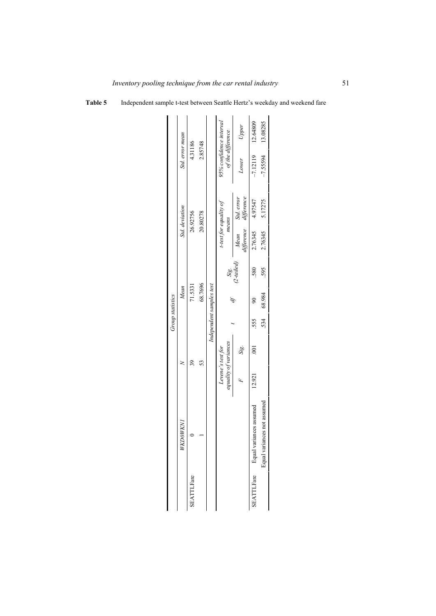| Table 5 | Independent sample t-test between Seattle Hertz's weekday and weekend fare |  |  |
|---------|----------------------------------------------------------------------------|--|--|
|---------|----------------------------------------------------------------------------|--|--|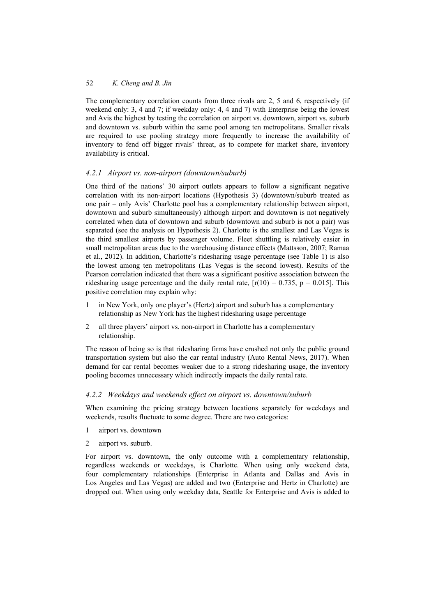The complementary correlation counts from three rivals are 2, 5 and 6, respectively (if weekend only: 3, 4 and 7; if weekday only: 4, 4 and 7) with Enterprise being the lowest and Avis the highest by testing the correlation on airport vs. downtown, airport vs. suburb and downtown vs. suburb within the same pool among ten metropolitans. Smaller rivals are required to use pooling strategy more frequently to increase the availability of inventory to fend off bigger rivals' threat, as to compete for market share, inventory availability is critical.

# *4.2.1 Airport vs. non-airport (downtown/suburb)*

One third of the nations' 30 airport outlets appears to follow a significant negative correlation with its non-airport locations (Hypothesis 3) (downtown/suburb treated as one pair – only Avis' Charlotte pool has a complementary relationship between airport, downtown and suburb simultaneously) although airport and downtown is not negatively correlated when data of downtown and suburb (downtown and suburb is not a pair) was separated (see the analysis on Hypothesis 2). Charlotte is the smallest and Las Vegas is the third smallest airports by passenger volume. Fleet shuttling is relatively easier in small metropolitan areas due to the warehousing distance effects (Mattsson, 2007; Ramaa et al., 2012). In addition, Charlotte's ridesharing usage percentage (see Table 1) is also the lowest among ten metropolitans (Las Vegas is the second lowest). Results of the Pearson correlation indicated that there was a significant positive association between the ridesharing usage percentage and the daily rental rate,  $[r(10) = 0.735, p = 0.015]$ . This positive correlation may explain why:

- 1 in New York, only one player's (Hertz) airport and suburb has a complementary relationship as New York has the highest ridesharing usage percentage
- 2 all three players' airport vs. non-airport in Charlotte has a complementary relationship.

The reason of being so is that ridesharing firms have crushed not only the public ground transportation system but also the car rental industry (Auto Rental News, 2017). When demand for car rental becomes weaker due to a strong ridesharing usage, the inventory pooling becomes unnecessary which indirectly impacts the daily rental rate.

## *4.2.2 Weekdays and weekends effect on airport vs. downtown/suburb*

When examining the pricing strategy between locations separately for weekdays and weekends, results fluctuate to some degree. There are two categories:

- 1 airport vs. downtown
- 2 airport vs. suburb.

For airport vs. downtown, the only outcome with a complementary relationship, regardless weekends or weekdays, is Charlotte. When using only weekend data, four complementary relationships (Enterprise in Atlanta and Dallas and Avis in Los Angeles and Las Vegas) are added and two (Enterprise and Hertz in Charlotte) are dropped out. When using only weekday data, Seattle for Enterprise and Avis is added to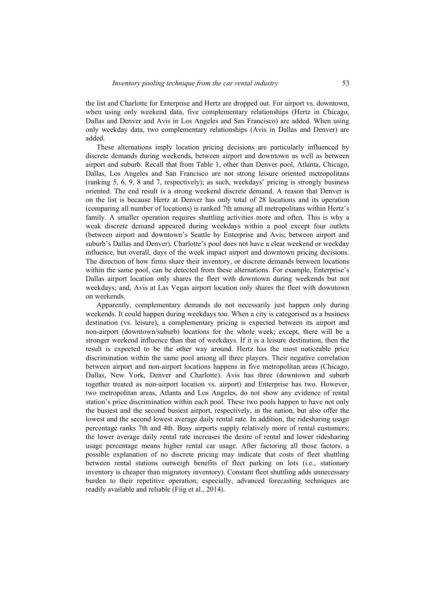the list and Charlotte for Enterprise and Hertz are dropped out. For airport vs. downtown, when using only weekend data, five complementary relationships (Hertz in Chicago, Dallas and Denver and Avis in Los Angeles and San Francisco) are added. When using only weekday data, two complementary relationships (Avis in Dallas and Denver) are added.

These alternations imply location pricing decisions are particularly influenced by discrete demands during weekends, between airport and downtown as well as between airport and suburb. Recall that from Table 1, other than Denver pool, Atlanta, Chicago, Dallas, Los Angeles and San Francisco are not strong leisure oriented metropolitans (ranking 5, 6, 9, 8 and 7, respectively); as such, weekdays' pricing is strongly business oriented. The end result is a strong weekend discrete demand. A reason that Denver is on the list is because Hertz at Denver has only total of 28 locations and its operation (comparing all number of locations) is ranked 7th among all metropolitans within Hertz's family. A smaller operation requires shuttling activities more and often. This is why a weak discrete demand appeared during weekdays within a pool except four outlets (between airport and downtown's Seattle by Enterprise and Avis; between airport and suburb's Dallas and Denver). Charlotte's pool does not have a clear weekend or weekday influence, but overall, days of the week impact airport and downtown pricing decisions. The direction of how firms share their inventory, or discrete demands between locations within the same pool, can be detected from these alternations. For example, Enterprise's Dallas airport location only shares the fleet with downtown during weekends but not weekdays; and, Avis at Las Vegas airport location only shares the fleet with downtown on weekends.

Apparently, complementary demands do not necessarily just happen only during weekends. It could happen during weekdays too. When a city is categorised as a business destination (vs. leisure), a complementary pricing is expected between its airport and non-airport (downtown/suburb) locations for the whole week; except, there will be a stronger weekend influence than that of weekdays. If it is a leisure destination, then the result is expected to be the other way around. Hertz has the most noticeable price discrimination within the same pool among all three players. Their negative correlation between airport and non-airport locations happens in five metropolitan areas (Chicago, Dallas, New York, Denver and Charlotte). Avis has three (downtown and suburb together treated as non-airport location vs. airport) and Enterprise has two. However, two metropolitan areas, Atlanta and Los Angeles, do not show any evidence of rental station's price discrimination within each pool. These two pools happen to have not only the busiest and the second busiest airport, respectively, in the nation, but also offer the lowest and the second lowest average daily rental rate. In addition, the ridesharing usage percentage ranks 7th and 4th. Busy airports supply relatively more of rental customers; the lower average daily rental rate increases the desire of rental and lower ridesharing usage percentage means higher rental car usage. After factoring all those factors, a possible explanation of no discrete pricing may indicate that costs of fleet shuttling between rental stations outweigh benefits of fleet parking on lots (i.e., stationary inventory is cheaper than migratory inventory). Constant fleet shuttling adds unnecessary burden to their repetitive operation; especially, advanced forecasting techniques are readily available and reliable (Fiig et al., 2014).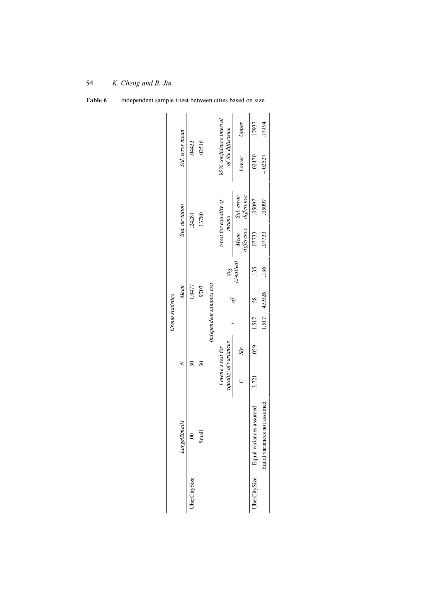|                         | Std. error mean         | .04433                   | .02516 |                          | 95% confidence interval<br>of the difference | Upper                    | .17937                               | 17994                       |
|-------------------------|-------------------------|--------------------------|--------|--------------------------|----------------------------------------------|--------------------------|--------------------------------------|-----------------------------|
|                         |                         |                          |        |                          |                                              | Lower                    | $-02470$                             | $-02527$                    |
|                         |                         | Std. deviation<br>.24281 | .13780 |                          | t-test for equality of<br>means              | Std. error<br>difference | .05097                               | .05097                      |
|                         |                         |                          |        |                          |                                              | difference<br>Mean       | .07733                               | .07733                      |
|                         |                         |                          |        |                          | Sig.<br>(2-tailed)                           |                          | .135                                 | .136                        |
| <b>Group statistics</b> |                         | 1.0477<br>Mean           | .9703  | Independent samples test |                                              |                          | 58                                   | 1.517 45.926                |
|                         |                         |                          |        |                          |                                              |                          | 1.517                                |                             |
|                         |                         |                          | నె     |                          | equality of variances<br>Levene's test for   | Sig.                     | 0.59                                 |                             |
|                         |                         |                          |        |                          |                                              |                          | 3.721                                |                             |
|                         | $Large \emph{OS}$ malll | ្គ                       | Small  |                          |                                              |                          | UberCitySize Equal variances assumed | Equal variances not assumed |
|                         |                         | JberCitySize             |        |                          |                                              |                          |                                      |                             |

**Table 6** Independent sample t-test between cities based on size

*K. Cheng and B. Jin* 

54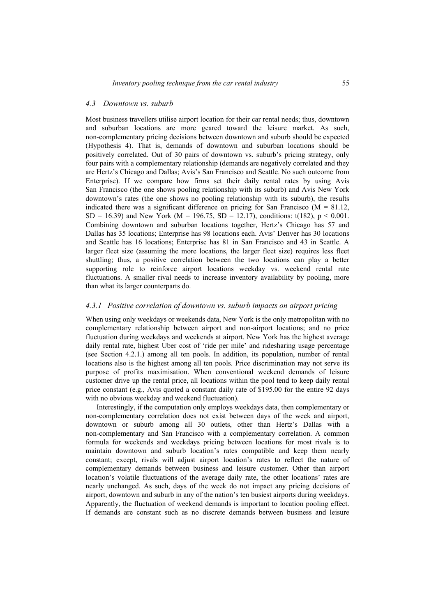Most business travellers utilise airport location for their car rental needs; thus, downtown and suburban locations are more geared toward the leisure market. As such, non-complementary pricing decisions between downtown and suburb should be expected (Hypothesis 4). That is, demands of downtown and suburban locations should be positively correlated. Out of 30 pairs of downtown vs. suburb's pricing strategy, only four pairs with a complementary relationship (demands are negatively correlated and they are Hertz's Chicago and Dallas; Avis's San Francisco and Seattle. No such outcome from Enterprise). If we compare how firms set their daily rental rates by using Avis San Francisco (the one shows pooling relationship with its suburb) and Avis New York downtown's rates (the one shows no pooling relationship with its suburb), the results indicated there was a significant difference on pricing for San Francisco  $(M = 81.12)$ , SD = 16.39) and New York (M = 196.75, SD = 12.17), conditions: t(182),  $p < 0.001$ . Combining downtown and suburban locations together, Hertz's Chicago has 57 and Dallas has 35 locations; Enterprise has 98 locations each. Avis' Denver has 30 locations and Seattle has 16 locations; Enterprise has 81 in San Francisco and 43 in Seattle. A larger fleet size (assuming the more locations, the larger fleet size) requires less fleet shuttling; thus, a positive correlation between the two locations can play a better supporting role to reinforce airport locations weekday vs. weekend rental rate fluctuations. A smaller rival needs to increase inventory availability by pooling, more than what its larger counterparts do.

#### *4.3.1 Positive correlation of downtown vs. suburb impacts on airport pricing*

When using only weekdays or weekends data, New York is the only metropolitan with no complementary relationship between airport and non-airport locations; and no price fluctuation during weekdays and weekends at airport. New York has the highest average daily rental rate, highest Uber cost of 'ride per mile' and ridesharing usage percentage (see Section 4.2.1.) among all ten pools. In addition, its population, number of rental locations also is the highest among all ten pools. Price discrimination may not serve its purpose of profits maximisation. When conventional weekend demands of leisure customer drive up the rental price, all locations within the pool tend to keep daily rental price constant (e.g., Avis quoted a constant daily rate of \$195.00 for the entire 92 days with no obvious weekday and weekend fluctuation).

Interestingly, if the computation only employs weekdays data, then complementary or non-complementary correlation does not exist between days of the week and airport, downtown or suburb among all 30 outlets, other than Hertz's Dallas with a non-complementary and San Francisco with a complementary correlation. A common formula for weekends and weekdays pricing between locations for most rivals is to maintain downtown and suburb location's rates compatible and keep them nearly constant; except, rivals will adjust airport location's rates to reflect the nature of complementary demands between business and leisure customer. Other than airport location's volatile fluctuations of the average daily rate, the other locations' rates are nearly unchanged. As such, days of the week do not impact any pricing decisions of airport, downtown and suburb in any of the nation's ten busiest airports during weekdays. Apparently, the fluctuation of weekend demands is important to location pooling effect. If demands are constant such as no discrete demands between business and leisure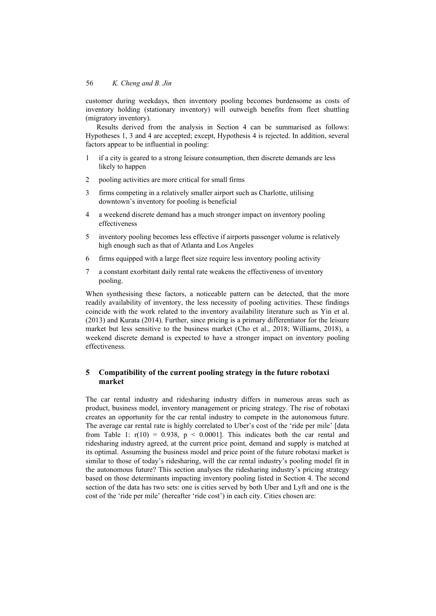customer during weekdays, then inventory pooling becomes burdensome as costs of inventory holding (stationary inventory) will outweigh benefits from fleet shuttling (migratory inventory).

Results derived from the analysis in Section 4 can be summarised as follows: Hypotheses 1, 3 and 4 are accepted; except, Hypothesis 4 is rejected. In addition, several factors appear to be influential in pooling:

- 1 if a city is geared to a strong leisure consumption, then discrete demands are less likely to happen
- 2 pooling activities are more critical for small firms
- 3 firms competing in a relatively smaller airport such as Charlotte, utilising downtown's inventory for pooling is beneficial
- 4 a weekend discrete demand has a much stronger impact on inventory pooling effectiveness
- 5 inventory pooling becomes less effective if airports passenger volume is relatively high enough such as that of Atlanta and Los Angeles
- 6 firms equipped with a large fleet size require less inventory pooling activity
- 7 a constant exorbitant daily rental rate weakens the effectiveness of inventory pooling.

When synthesising these factors, a noticeable pattern can be detected, that the more readily availability of inventory, the less necessity of pooling activities. These findings coincide with the work related to the inventory availability literature such as Yin et al. (2013) and Kurata (2014). Further, since pricing is a primary differentiator for the leisure market but less sensitive to the business market (Cho et al., 2018; Williams, 2018), a weekend discrete demand is expected to have a stronger impact on inventory pooling effectiveness.

## **5 Compatibility of the current pooling strategy in the future robotaxi market**

The car rental industry and ridesharing industry differs in numerous areas such as product, business model, inventory management or pricing strategy. The rise of robotaxi creates an opportunity for the car rental industry to compete in the autonomous future. The average car rental rate is highly correlated to Uber's cost of the 'ride per mile' [data from Table 1:  $r(10) = 0.938$ ,  $p < 0.0001$ . This indicates both the car rental and ridesharing industry agreed, at the current price point, demand and supply is matched at its optimal. Assuming the business model and price point of the future robotaxi market is similar to those of today's ridesharing, will the car rental industry's pooling model fit in the autonomous future? This section analyses the ridesharing industry's pricing strategy based on those determinants impacting inventory pooling listed in Section 4. The second section of the data has two sets: one is cities served by both Uber and Lyft and one is the cost of the 'ride per mile' (hereafter 'ride cost') in each city. Cities chosen are: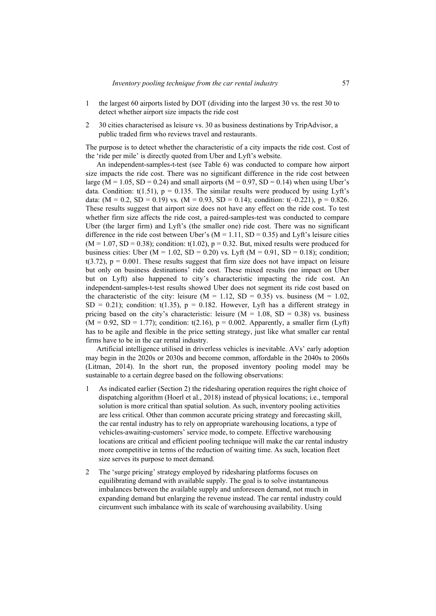- 1 the largest 60 airports listed by DOT (dividing into the largest 30 vs. the rest 30 to detect whether airport size impacts the ride cost
- 2 30 cities characterised as leisure vs. 30 as business destinations by TripAdvisor, a public traded firm who reviews travel and restaurants.

The purpose is to detect whether the characteristic of a city impacts the ride cost. Cost of the 'ride per mile' is directly quoted from Uber and Lyft's website.

An independent-samples-t-test (see Table 6) was conducted to compare how airport size impacts the ride cost. There was no significant difference in the ride cost between large ( $M = 1.05$ , SD = 0.24) and small airports ( $M = 0.97$ , SD = 0.14) when using Uber's data. Condition:  $t(1.51)$ ,  $p = 0.135$ . The similar results were produced by using Lyft's data:  $(M = 0.2, SD = 0.19)$  vs.  $(M = 0.93, SD = 0.14)$ ; condition: t(-0.221), p = 0.826. These results suggest that airport size does not have any effect on the ride cost. To test whether firm size affects the ride cost, a paired-samples-test was conducted to compare Uber (the larger firm) and Lyft's (the smaller one) ride cost. There was no significant difference in the ride cost between Uber's  $(M = 1.11, SD = 0.35)$  and Lyft's leisure cities  $(M = 1.07, SD = 0.38)$ ; condition: t(1.02),  $p = 0.32$ . But, mixed results were produced for business cities: Uber ( $M = 1.02$ , SD = 0.20) vs. Lyft ( $M = 0.91$ , SD = 0.18); condition;  $t(3.72)$ ,  $p = 0.001$ . These results suggest that firm size does not have impact on leisure but only on business destinations' ride cost. These mixed results (no impact on Uber but on Lyft) also happened to city's characteristic impacting the ride cost. An independent-samples-t-test results showed Uber does not segment its ride cost based on the characteristic of the city: leisure  $(M = 1.12, SD = 0.35)$  vs. business  $(M = 1.02,$ SD = 0.21); condition: t(1.35),  $p = 0.182$ . However, Lyft has a different strategy in pricing based on the city's characteristic: leisure ( $M = 1.08$ , SD = 0.38) vs. business  $(M = 0.92, SD = 1.77)$ ; condition: t(2.16),  $p = 0.002$ . Apparently, a smaller firm (Lyft) has to be agile and flexible in the price setting strategy, just like what smaller car rental firms have to be in the car rental industry.

Artificial intelligence utilised in driverless vehicles is inevitable. AVs' early adoption may begin in the 2020s or 2030s and become common, affordable in the 2040s to 2060s (Litman, 2014). In the short run, the proposed inventory pooling model may be sustainable to a certain degree based on the following observations:

- 1 As indicated earlier (Section 2) the ridesharing operation requires the right choice of dispatching algorithm (Hoerl et al., 2018) instead of physical locations; i.e., temporal solution is more critical than spatial solution. As such, inventory pooling activities are less critical. Other than common accurate pricing strategy and forecasting skill, the car rental industry has to rely on appropriate warehousing locations, a type of vehicles-awaiting-customers' service mode, to compete. Effective warehousing locations are critical and efficient pooling technique will make the car rental industry more competitive in terms of the reduction of waiting time. As such, location fleet size serves its purpose to meet demand.
- 2 The 'surge pricing' strategy employed by ridesharing platforms focuses on equilibrating demand with available supply. The goal is to solve instantaneous imbalances between the available supply and unforeseen demand, not much in expanding demand but enlarging the revenue instead. The car rental industry could circumvent such imbalance with its scale of warehousing availability. Using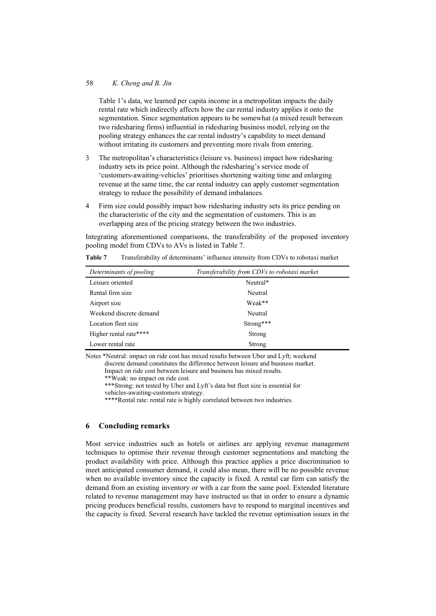### 58 *K. Cheng and B. Jin*

Table 1's data, we learned per capita income in a metropolitan impacts the daily rental rate which indirectly affects how the car rental industry applies it onto the segmentation. Since segmentation appears to be somewhat (a mixed result between two ridesharing firms) influential in ridesharing business model, relying on the pooling strategy enhances the car rental industry's capability to meet demand without irritating its customers and preventing more rivals from entering.

- 3 The metropolitan's characteristics (leisure vs. business) impact how ridesharing industry sets its price point. Although the ridesharing's service mode of 'customers-awaiting-vehicles' prioritises shortening waiting time and enlarging revenue at the same time, the car rental industry can apply customer segmentation strategy to reduce the possibility of demand imbalances.
- 4 Firm size could possibly impact how ridesharing industry sets its price pending on the characteristic of the city and the segmentation of customers. This is an overlapping area of the pricing strategy between the two industries.

Integrating aforementioned comparisons, the transferability of the proposed inventory pooling model from CDVs to AVs is listed in Table 7.

| Determinants of pooling | Transferability from CDVs to robotaxi market |
|-------------------------|----------------------------------------------|
| Leisure oriented        | Neutral*                                     |
| Rental firm size        | Neutral                                      |
| Airport size            | Weak**                                       |
| Weekend discrete demand | Neutral                                      |
| Location fleet size     | Strong***                                    |
| Higher rental rate****  | Strong                                       |
| Lower rental rate       | Strong                                       |

**Table 7** Transferability of determinants' influence intensity from CDVs to robotaxi market

Notes \*Neutral: impact on ride cost has mixed results between Uber and Lyft; weekend discrete demand constitutes the difference between leisure and business market.

Impact on ride cost between leisure and business has mixed results.

\*\*Weak: no impact on ride cost.

\*\*\*Strong: not tested by Uber and Lyft's data but fleet size is essential for vehicles-awaiting-customers strategy.

\*\*\*\*Rental rate: rental rate is highly correlated between two industries.

### **6 Concluding remarks**

Most service industries such as hotels or airlines are applying revenue management techniques to optimise their revenue through customer segmentations and matching the product availability with price. Although this practice applies a price discrimination to meet anticipated consumer demand, it could also mean, there will be no possible revenue when no available inventory since the capacity is fixed. A rental car firm can satisfy the demand from an existing inventory or with a car from the same pool. Extended literature related to revenue management may have instructed us that in order to ensure a dynamic pricing produces beneficial results, customers have to respond to marginal incentives and the capacity is fixed. Several research have tackled the revenue optimisation issues in the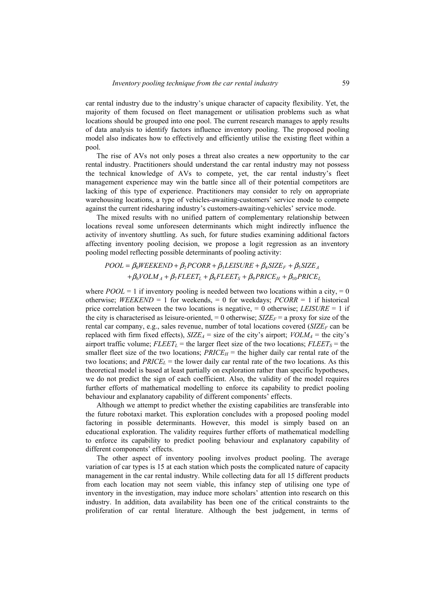car rental industry due to the industry's unique character of capacity flexibility. Yet, the majority of them focused on fleet management or utilisation problems such as what locations should be grouped into one pool. The current research manages to apply results of data analysis to identify factors influence inventory pooling. The proposed pooling model also indicates how to effectively and efficiently utilise the existing fleet within a pool.

The rise of AVs not only poses a threat also creates a new opportunity to the car rental industry. Practitioners should understand the car rental industry may not possess the technical knowledge of AVs to compete, yet, the car rental industry's fleet management experience may win the battle since all of their potential competitors are lacking of this type of experience. Practitioners may consider to rely on appropriate warehousing locations, a type of vehicles-awaiting-customers' service mode to compete against the current ridesharing industry's customers-awaiting-vehicles' service mode.

The mixed results with no unified pattern of complementary relationship between locations reveal some unforeseen determinants which might indirectly influence the activity of inventory shuttling. As such, for future studies examining additional factors affecting inventory pooling decision, we propose a logit regression as an inventory pooling model reflecting possible determinants of pooling activity:

# $POOL = \beta_0 W E E K END + \beta_2 PCORR + \beta_3 LEISURE + \beta_4 SIZE_F + \beta_5 SIZE_A$  $+\beta_6 VOLM_A + \beta_7 FLEET_L + \beta_8 FLEET_S + \beta_9 PRICE_H + \beta_{10} PRICE_L$

where  $POOL = 1$  if inventory pooling is needed between two locations within a city,  $= 0$ otherwise; *WEEKEND* = 1 for weekends, = 0 for weekdays; *PCORR* = 1 if historical price correlation between the two locations is negative,  $= 0$  otherwise; *LEISURE*  $= 1$  if the city is characterised as leisure-oriented,  $= 0$  otherwise; *SIZE<sub>F</sub>* = a proxy for size of the rental car company, e.g., sales revenue, number of total locations covered  $(SIZE<sub>F</sub>$  can be replaced with firm fixed effects),  $SIZE_A$  = size of the city's airport;  $VOLM_A$  = the city's airport traffic volume;  $FLEET_L$  = the larger fleet size of the two locations;  $FLEET_S$  = the smaller fleet size of the two locations;  $PRICE_H$  = the higher daily car rental rate of the two locations; and  $PRICE<sub>L</sub>$  = the lower daily car rental rate of the two locations. As this theoretical model is based at least partially on exploration rather than specific hypotheses, we do not predict the sign of each coefficient. Also, the validity of the model requires further efforts of mathematical modelling to enforce its capability to predict pooling behaviour and explanatory capability of different components' effects.

Although we attempt to predict whether the existing capabilities are transferable into the future robotaxi market. This exploration concludes with a proposed pooling model factoring in possible determinants. However, this model is simply based on an educational exploration. The validity requires further efforts of mathematical modelling to enforce its capability to predict pooling behaviour and explanatory capability of different components' effects.

The other aspect of inventory pooling involves product pooling. The average variation of car types is 15 at each station which posts the complicated nature of capacity management in the car rental industry. While collecting data for all 15 different products from each location may not seem viable, this infancy step of utilising one type of inventory in the investigation, may induce more scholars' attention into research on this industry. In addition, data availability has been one of the critical constraints to the proliferation of car rental literature. Although the best judgement, in terms of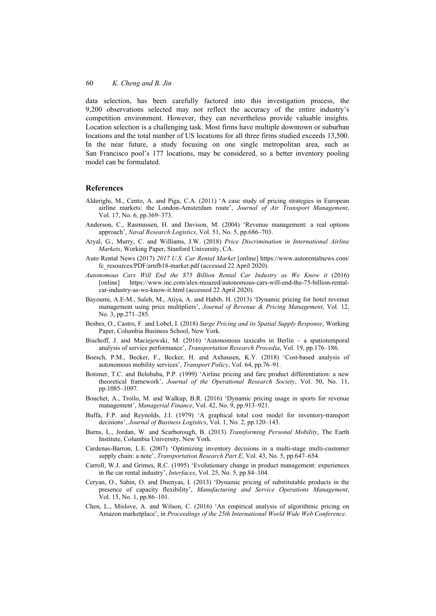data selection, has been carefully factored into this investigation process, the 9,200 observations selected may not reflect the accuracy of the entire industry's competition environment. However, they can nevertheless provide valuable insights. Location selection is a challenging task. Most firms have multiple downtown or suburban locations and the total number of US locations for all three firms studied exceeds 13,500. In the near future, a study focusing on one single metropolitan area, such as San Francisco pool's 177 locations, may be considered, so a better inventory pooling model can be formulated.

#### **References**

- Alderighi, M., Cento, A. and Piga, C.A. (2011) 'A case study of pricing strategies in European airline markets: the London-Amsterdam route', *Journal of Air Transport Management*, Vol. 17, No. 6, pp.369–373.
- Anderson, C., Rasmussen, H. and Davison, M. (2004) 'Revenue management: a real options approach', *Naval Research Logistics*, Vol. 51, No. 5, pp.686–703.
- Aryal, G., Murry, C. and Williams, J.W. (2018) *Price Discrimination in International Airline Markets*, Working Paper, Stanford University, CA.
- Auto Rental News (2017) *2017 U.S. Car Rental Market* [online] https://www.autorentalnews.com/ fc\_resources/PDF/arnfb18-market.pdf (accessed 22 April 2020).
- *Autonomous Cars Will End the \$75 Billion Rental Car Industry as We Know it* (2016) [online] https://www.inc.com/alex-moazed/autonomous-cars-will-end-the-75-billion-rentalcar-industry-as-we-know-it.html (accessed 22 April 2020).
- Bayoumi, A.E-M., Saleh, M., Atiya, A. and Habib, H. (2013) 'Dynamic pricing for hotel revenue management using price multipliers', *Journal of Revenue & Pricing Management*, Vol. 12, No. 3, pp.271–285.
- Besbes, O., Castro, F. and Lobel, I. (2018) *Surge Pricing and its Spatial Supply Response*, Working Paper, Columbia Business School, New York.
- Bischoff, J. and Maciejewski, M. (2016) 'Autonomous taxicabs in Berlin a spatiotemporal analysis of service performance', *Transportation Research Procedia*, Vol. 19, pp.176–186.
- Boesch, P.M., Becker, F., Becker, H. and Axhausen, K.Y. (2018) 'Cost-based analysis of autonomous mobility services', *Transport Policy*, Vol. 64, pp.76–91.
- Botimer, T.C. and Belobaba, P.P. (1999) 'Airline pricing and fare product differentiation: a new theoretical framework', *Journal of the Operational Research Society*, Vol. 50, No. 11, pp.1085–1097.
- Bouchet, A., Troilo, M. and Walkup, B.R. (2016) 'Dynamic pricing usage in sports for revenue management', *Managerial Finance*, Vol. 42, No. 9, pp.913–921.
- Buffa, F.P. and Reynolds, J.I. (1979) 'A graphical total cost model for inventory-transport decisions', *Journal of Business Logistics*, Vol. 1, No. 2, pp.120–143.
- Burns, L., Jordan, W. and Scarborough, B. (2013) *Transforming Personal Mobility*, The Earth Institute, Columbia University, New York.
- Cardenas-Barron, L.E. (2007) 'Optimizing inventory decisions in a multi-stage multi-customer supply chain: a note', *Transportation Research Part E*, Vol. 43, No. 5, pp.647–654.
- Carroll, W.J. and Grimes, R.C. (1995) 'Evolutionary change in product management: experiences in the car rental industry', *Interfaces*, Vol. 25, No. 5, pp.84–104.
- Ceryan, O., Sahin, O. and Duenyas, I. (2013) 'Dynamic pricing of substitutable products in the presence of capacity flexibility', *Manufacturing and Service Operations Management*, Vol. 15, No. 1, pp.86–101.
- Chen, L., Mislove, A. and Wilson, C. (2016) 'An empirical analysis of algorithmic pricing on Amazon marketplace', in *Proceedings of the 25th International World Wide Web Conference*.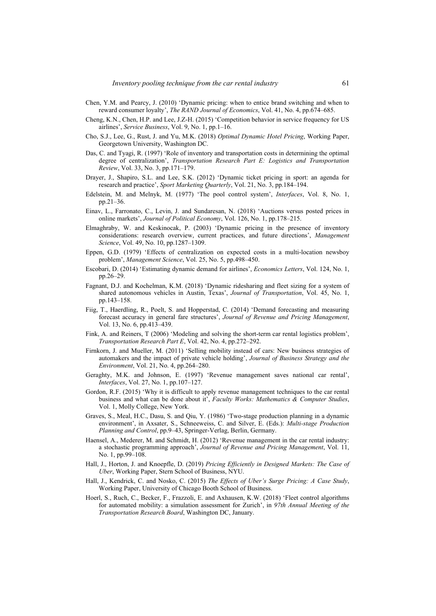- Chen, Y.M. and Pearcy, J. (2010) 'Dynamic pricing: when to entice brand switching and when to reward consumer loyalty', *The RAND Journal of Economics*, Vol. 41, No. 4, pp.674–685.
- Cheng, K.N., Chen, H.P. and Lee, J.Z-H. (2015) 'Competition behavior in service frequency for US airlines', *Service Business*, Vol. 9, No. 1, pp.1–16.
- Cho, S.J., Lee, G., Rust, J. and Yu, M.K. (2018) *Optimal Dynamic Hotel Pricing*, Working Paper, Georgetown University, Washington DC.
- Das, C. and Tyagi, R. (1997) 'Role of inventory and transportation costs in determining the optimal degree of centralization', *Transportation Research Part E: Logistics and Transportation Review*, Vol. 33, No. 3, pp.171–179.
- Drayer, J., Shapiro, S.L. and Lee, S.K. (2012) 'Dynamic ticket pricing in sport: an agenda for research and practice', *Sport Marketing Quarterly*, Vol. 21, No. 3, pp.184–194.
- Edelstein, M. and Melnyk, M. (1977) 'The pool control system', *Interfaces*, Vol. 8, No. 1, pp.21–36.
- Einav, L., Farronato, C., Levin, J. and Sundaresan, N. (2018) 'Auctions versus posted prices in online markets', *Journal of Political Economy*, Vol. 126, No. 1, pp.178–215.
- Elmaghraby, W. and Keskinocak, P. (2003) 'Dynamic pricing in the presence of inventory considerations: research overview, current practices, and future directions', *Management Science*, Vol. 49, No. 10, pp.1287–1309.
- Eppen, G.D. (1979) 'Effects of centralization on expected costs in a multi-location newsboy problem', *Management Science*, Vol. 25, No. 5, pp.498–450.
- Escobari, D. (2014) 'Estimating dynamic demand for airlines', *Economics Letters*, Vol. 124, No. 1, pp.26–29.
- Fagnant, D.J. and Kochelman, K.M. (2018) 'Dynamic ridesharing and fleet sizing for a system of shared autonomous vehicles in Austin, Texas', *Journal of Transportation*, Vol. 45, No. 1, pp.143–158.
- Fiig, T., Haerdling, R., Poelt, S. and Hopperstad, C. (2014) 'Demand forecasting and measuring forecast accuracy in general fare structures', *Journal of Revenue and Pricing Management*, Vol. 13, No. 6, pp.413–439.
- Fink, A. and Reiners, T (2006) 'Modeling and solving the short-term car rental logistics problem', *Transportation Research Part E*, Vol. 42, No. 4, pp.272–292.
- Firnkorn, J. and Mueller, M. (2011) 'Selling mobility instead of cars: New business strategies of automakers and the impact of private vehicle holding', *Journal of Business Strategy and the Environment*, Vol. 21, No. 4, pp.264–280.
- Geraghty, M.K. and Johnson, E. (1997) 'Revenue management saves national car rental', *Interfaces*, Vol. 27, No. 1, pp.107–127.
- Gordon, R.F. (2015) 'Why it is difficult to apply revenue management techniques to the car rental business and what can be done about it', *Faculty Works: Mathematics & Computer Studies*, Vol. 1, Molly College, New York.
- Graves, S., Meal, H.C., Dasu, S. and Qiu, Y. (1986) 'Two-stage production planning in a dynamic environment', in Axsater, S., Schneeweiss, C. and Silver, E. (Eds.): *Multi-stage Production Planning and Control*, pp.9–43, Springer-Verlag, Berlin, Germany.
- Haensel, A., Mederer, M. and Schmidt, H. (2012) 'Revenue management in the car rental industry: a stochastic programming approach', *Journal of Revenue and Pricing Management*, Vol. 11, No. 1, pp.99–108.
- Hall, J., Horton, J. and Knoepfle, D. (2019) *Pricing Efficiently in Designed Markets: The Case of Uber*, Working Paper, Stern School of Business, NYU.
- Hall, J., Kendrick, C. and Nosko, C. (2015) *The Effects of Uber's Surge Pricing: A Case Study*, Working Paper, University of Chicago Booth School of Business.
- Hoerl, S., Ruch, C., Becker, F., Frazzoli, E. and Axhausen, K.W. (2018) 'Fleet control algorithms for automated mobility: a simulation assessment for Zurich', in *97th Annual Meeting of the Transportation Research Board*, Washington DC, January.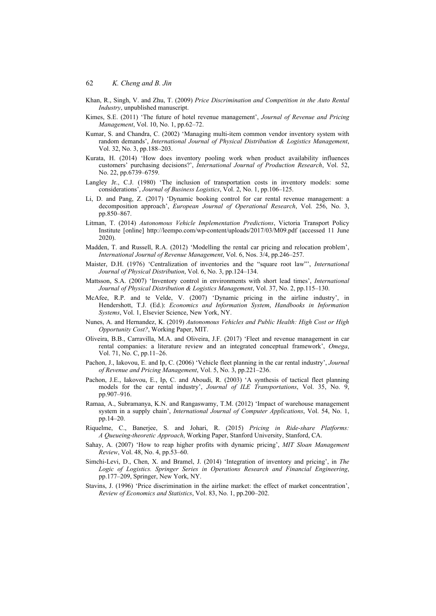- Khan, R., Singh, V. and Zhu, T. (2009) *Price Discrimination and Competition in the Auto Rental Industry*, unpublished manuscript.
- Kimes, S.E. (2011) 'The future of hotel revenue management', *Journal of Revenue and Pricing Management*, Vol. 10, No. 1, pp.62–72.
- Kumar, S. and Chandra, C. (2002) 'Managing multi-item common vendor inventory system with random demands', *International Journal of Physical Distribution & Logistics Management*, Vol. 32, No. 3, pp.188–203.
- Kurata, H. (2014) 'How does inventory pooling work when product availability influences customers' purchasing decisions?', *International Journal of Production Research*, Vol. 52, No. 22, pp.6739–6759.
- Langley Jr., C.J. (1980) 'The inclusion of transportation costs in inventory models: some considerations', *Journal of Business Logistics*, Vol. 2, No. 1, pp.106–125.
- Li, D. and Pang, Z. (2017) 'Dynamic booking control for car rental revenue management: a decomposition approach', *European Journal of Operational Research*, Vol. 256, No. 3, pp.850–867.
- Litman, T. (2014) *Autonomous Vehicle Implementation Predictions*, Victoria Transport Policy Institute [online] http://leempo.com/wp-content/uploads/2017/03/M09.pdf (accessed 11 June 2020).
- Madden, T. and Russell, R.A. (2012) 'Modelling the rental car pricing and relocation problem', *International Journal of Revenue Management*, Vol. 6, Nos. 3/4, pp.246–257.
- Maister, D.H. (1976) 'Centralization of inventories and the "square root law"', *International Journal of Physical Distribution*, Vol. 6, No. 3, pp.124–134.
- Mattsson, S.A. (2007) 'Inventory control in environments with short lead times', *International Journal of Physical Distribution & Logistics Management*, Vol. 37, No. 2, pp.115–130.
- McAfee, R.P. and te Velde, V. (2007) 'Dynamic pricing in the airline industry', in Hendershott, T.J. (Ed.): *Economics and Information System*, *Handbooks in Information Systems*, Vol. 1, Elsevier Science, New York, NY.
- Nunes, A. and Hernandez, K. (2019) *Autonomous Vehicles and Public Health: High Cost or High Opportunity Cost?*, Working Paper, MIT.
- Oliveira, B.B., Carravilla, M.A. and Oliveira, J.F. (2017) 'Fleet and revenue management in car rental companies: a literature review and an integrated conceptual framework', *Omega*, Vol. 71, No. C, pp.11–26.
- Pachon, J., Iakovou, E. and Ip, C. (2006) 'Vehicle fleet planning in the car rental industry', *Journal of Revenue and Pricing Management*, Vol. 5, No. 3, pp.221–236.
- Pachon, J.E., Iakovou, E., Ip, C. and Aboudi, R. (2003) 'A synthesis of tactical fleet planning models for the car rental industry', *Journal of ILE Transportations*, Vol. 35, No. 9, pp.907–916.
- Ramaa, A., Subramanya, K.N. and Rangaswamy, T.M. (2012) 'Impact of warehouse management system in a supply chain', *International Journal of Computer Applications*, Vol. 54, No. 1, pp.14–20.
- Riquelme, C., Banerjee, S. and Johari, R. (2015) *Pricing in Ride-share Platforms: A Queueing-theoretic Approach*, Working Paper, Stanford University, Stanford, CA.
- Sahay, A. (2007) 'How to reap higher profits with dynamic pricing', *MIT Sloan Management Review*, Vol. 48, No. 4, pp.53–60.
- Simchi-Levi, D., Chen, X. and Bramel, J. (2014) 'Integration of inventory and pricing', in *The Logic of Logistics. Springer Series in Operations Research and Financial Engineering*, pp.177–209, Springer, New York, NY.
- Stavins, J. (1996) 'Price discrimination in the airline market: the effect of market concentration', *Review of Economics and Statistics*, Vol. 83, No. 1, pp.200–202.